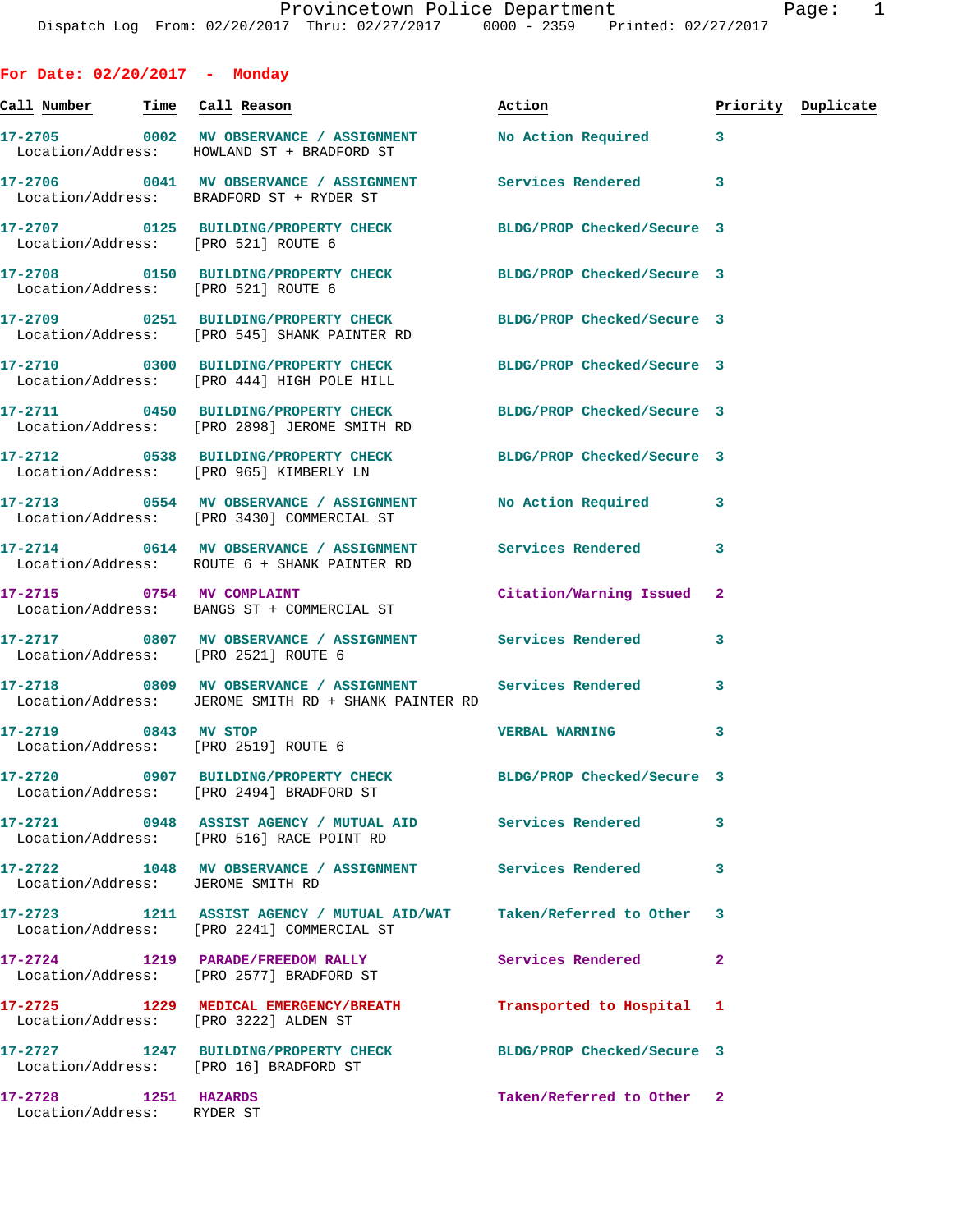**For Date: 02/20/2017 - Monday**

Location/Address: RYDER ST

**Call Number Time Call Reason Action Priority Duplicate 17-2705 0002 MV OBSERVANCE / ASSIGNMENT No Action Required 3**  Location/Address: HOWLAND ST + BRADFORD ST **17-2706 0041 MV OBSERVANCE / ASSIGNMENT Services Rendered 3**  Location/Address: BRADFORD ST + RYDER ST **17-2707 0125 BUILDING/PROPERTY CHECK BLDG/PROP Checked/Secure 3**  Location/Address: [PRO 521] ROUTE 6 **17-2708 0150 BUILDING/PROPERTY CHECK BLDG/PROP Checked/Secure 3**  Location/Address: [PRO 521] ROUTE 6 **17-2709 0251 BUILDING/PROPERTY CHECK BLDG/PROP Checked/Secure 3**  Location/Address: [PRO 545] SHANK PAINTER RD **17-2710 0300 BUILDING/PROPERTY CHECK BLDG/PROP Checked/Secure 3**  Location/Address: [PRO 444] HIGH POLE HILL **17-2711 0450 BUILDING/PROPERTY CHECK BLDG/PROP Checked/Secure 3**  Location/Address: [PRO 2898] JEROME SMITH RD **17-2712 0538 BUILDING/PROPERTY CHECK BLDG/PROP Checked/Secure 3**  Location/Address: [PRO 965] KIMBERLY LN **17-2713 0554 MV OBSERVANCE / ASSIGNMENT No Action Required 3**  Location/Address: [PRO 3430] COMMERCIAL ST **17-2714 0614 MV OBSERVANCE / ASSIGNMENT Services Rendered 3**  Location/Address: ROUTE 6 + SHANK PAINTER RD **17-2715 0754 MV COMPLAINT Citation/Warning Issued 2**  Location/Address: BANGS ST + COMMERCIAL ST **17-2717 0807 MV OBSERVANCE / ASSIGNMENT Services Rendered 3**  Location/Address: [PRO 2521] ROUTE 6 **17-2718 0809 MV OBSERVANCE / ASSIGNMENT Services Rendered 3**  Location/Address: JEROME SMITH RD + SHANK PAINTER RD **17-2719 0843 MV STOP VERBAL WARNING 3**  Location/Address: [PRO 2519] ROUTE 6 **17-2720 0907 BUILDING/PROPERTY CHECK BLDG/PROP Checked/Secure 3**  Location/Address: [PRO 2494] BRADFORD ST **17-2721 0948 ASSIST AGENCY / MUTUAL AID Services Rendered 3**  Location/Address: [PRO 516] RACE POINT RD **17-2722 1048 MV OBSERVANCE / ASSIGNMENT Services Rendered 3**  Location/Address: JEROME SMITH RD **17-2723 1211 ASSIST AGENCY / MUTUAL AID/WAT Taken/Referred to Other 3**  Location/Address: [PRO 2241] COMMERCIAL ST **17-2724 1219 PARADE/FREEDOM RALLY Services Rendered 2**  Location/Address: [PRO 2577] BRADFORD ST **17-2725 1229 MEDICAL EMERGENCY/BREATH Transported to Hospital 1**  Location/Address: [PRO 3222] ALDEN ST **17-2727 1247 BUILDING/PROPERTY CHECK BLDG/PROP Checked/Secure 3**  Location/Address: [PRO 16] BRADFORD ST **17-2728 1251 HAZARDS Taken/Referred to Other 2**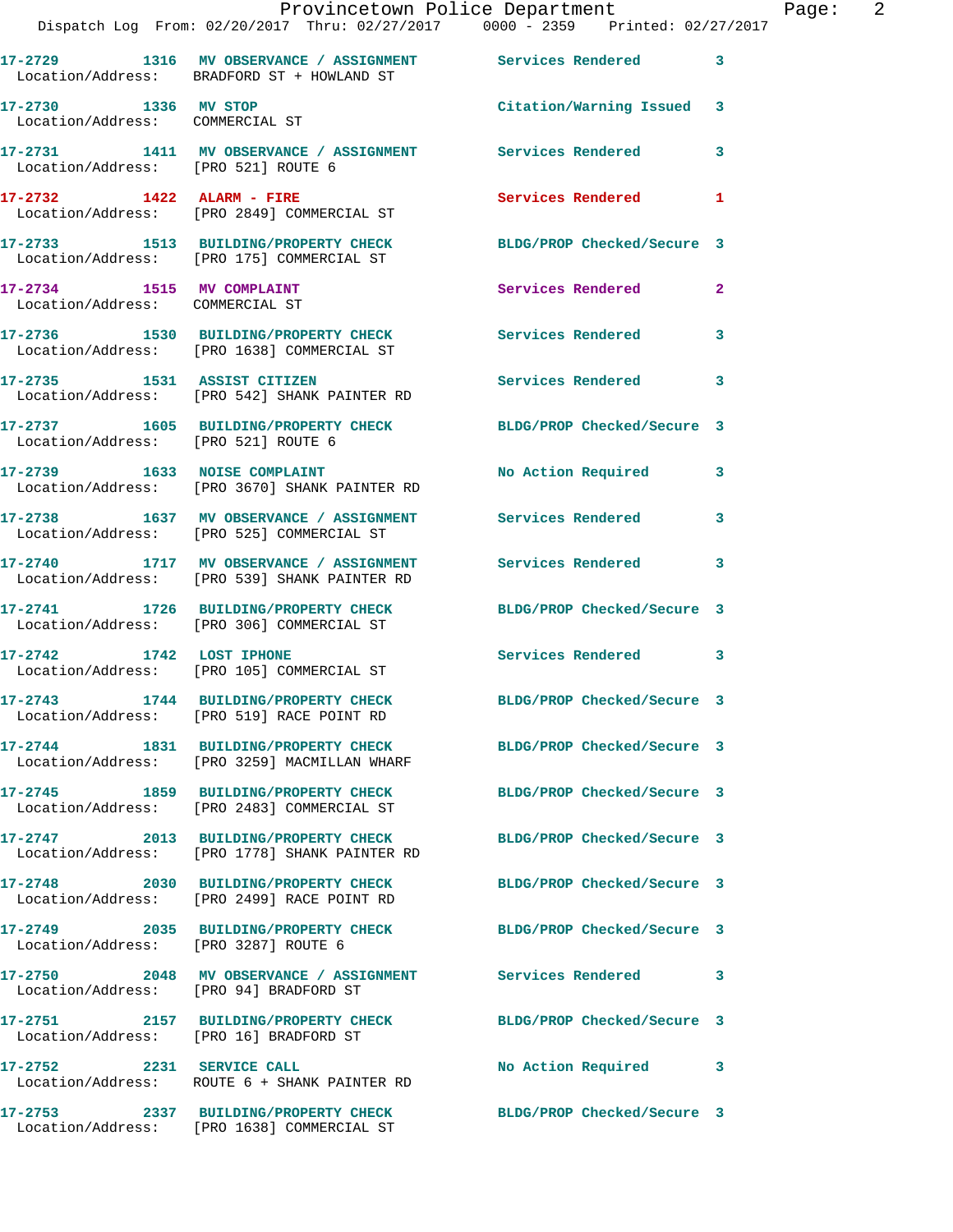|                                                              |                                                                                                           | Provincetown Police Department The Page: 2<br>Dispatch Log From: 02/20/2017 Thru: 02/27/2017 0000 - 2359 Printed: 02/27/2017 |  |
|--------------------------------------------------------------|-----------------------------------------------------------------------------------------------------------|------------------------------------------------------------------------------------------------------------------------------|--|
|                                                              | Location/Address: BRADFORD ST + HOWLAND ST                                                                | 17-2729 1316 MV OBSERVANCE / ASSIGNMENT Services Rendered 3                                                                  |  |
| 17-2730 1336 MV STOP<br>Location/Address: COMMERCIAL ST      |                                                                                                           | Citation/Warning Issued 3                                                                                                    |  |
|                                                              | 17-2731   1411 MV OBSERVANCE / ASSIGNMENT   Services Rendered<br>Location/Address: [PRO 521] ROUTE 6      | $\mathbf{3}$                                                                                                                 |  |
|                                                              | 17-2732 1422 ALARM - FIRE<br>Location/Address: [PRO 2849] COMMERCIAL ST                                   | Services Rendered 1                                                                                                          |  |
|                                                              |                                                                                                           | 17-2733 1513 BUILDING/PROPERTY CHECK BLDG/PROP Checked/Secure 3<br>Location/Address: [PRO 175] COMMERCIAL ST                 |  |
| 17-2734 1515 MV COMPLAINT<br>Location/Address: COMMERCIAL ST |                                                                                                           | Services Rendered<br>$\mathbf{2}$                                                                                            |  |
|                                                              | Location/Address: [PRO 1638] COMMERCIAL ST                                                                | 17-2736 1530 BUILDING/PROPERTY CHECK Services Rendered 3                                                                     |  |
|                                                              | 17-2735 1531 ASSIST CITIZEN<br>Location/Address: [PRO 542] SHANK PAINTER RD                               | Services Rendered<br>3                                                                                                       |  |
| Location/Address: [PRO 521] ROUTE 6                          |                                                                                                           | 17-2737 1605 BUILDING/PROPERTY CHECK BLDG/PROP Checked/Secure 3                                                              |  |
|                                                              | 17-2739 1633 NOISE COMPLAINT<br>Location/Address: [PRO 3670] SHANK PAINTER RD                             | No Action Required 3                                                                                                         |  |
|                                                              | Location/Address: [PRO 525] COMMERCIAL ST                                                                 | 17-2738 1637 MV OBSERVANCE / ASSIGNMENT Services Rendered 3                                                                  |  |
|                                                              | 17-2740 1717 MV OBSERVANCE / ASSIGNMENT Services Rendered<br>Location/Address: [PRO 539] SHANK PAINTER RD | 3                                                                                                                            |  |
|                                                              | Location/Address: [PRO 306] COMMERCIAL ST                                                                 | 17-2741 1726 BUILDING/PROPERTY CHECK BLDG/PROP Checked/Secure 3                                                              |  |
|                                                              | 17-2742 1742 LOST IPHONE<br>Location/Address: [PRO 105] COMMERCIAL ST                                     | Services Rendered 3                                                                                                          |  |
|                                                              | 17-2743 1744 BUILDING/PROPERTY CHECK<br>Location/Address: [PRO 519] RACE POINT RD                         | BLDG/PROP Checked/Secure 3                                                                                                   |  |
|                                                              | Location/Address: [PRO 3259] MACMILLAN WHARF                                                              | 17-2744 1831 BUILDING/PROPERTY CHECK BLDG/PROP Checked/Secure 3                                                              |  |
|                                                              | 17-2745 1859 BUILDING/PROPERTY CHECK<br>Location/Address: [PRO 2483] COMMERCIAL ST                        | BLDG/PROP Checked/Secure 3                                                                                                   |  |
|                                                              | 17-2747 2013 BUILDING/PROPERTY CHECK<br>Location/Address: [PRO 1778] SHANK PAINTER RD                     | BLDG/PROP Checked/Secure 3                                                                                                   |  |
|                                                              | Location/Address: [PRO 2499] RACE POINT RD                                                                | 17-2748 2030 BUILDING/PROPERTY CHECK BLDG/PROP Checked/Secure 3                                                              |  |
| Location/Address: [PRO 3287] ROUTE 6                         | 17-2749 2035 BUILDING/PROPERTY CHECK                                                                      | BLDG/PROP Checked/Secure 3                                                                                                   |  |
| Location/Address: [PRO 94] BRADFORD ST                       |                                                                                                           | 17-2750 2048 MV OBSERVANCE / ASSIGNMENT Services Rendered 3                                                                  |  |
|                                                              | Location/Address: [PRO 16] BRADFORD ST                                                                    | 17-2751 2157 BUILDING/PROPERTY CHECK BLDG/PROP Checked/Secure 3                                                              |  |
| 17-2752 2231 SERVICE CALL                                    | Location/Address: ROUTE 6 + SHANK PAINTER RD                                                              | No Action Required 3                                                                                                         |  |
|                                                              | Location/Address: [PRO 1638] COMMERCIAL ST                                                                | 17-2753 2337 BUILDING/PROPERTY CHECK BLDG/PROP Checked/Secure 3                                                              |  |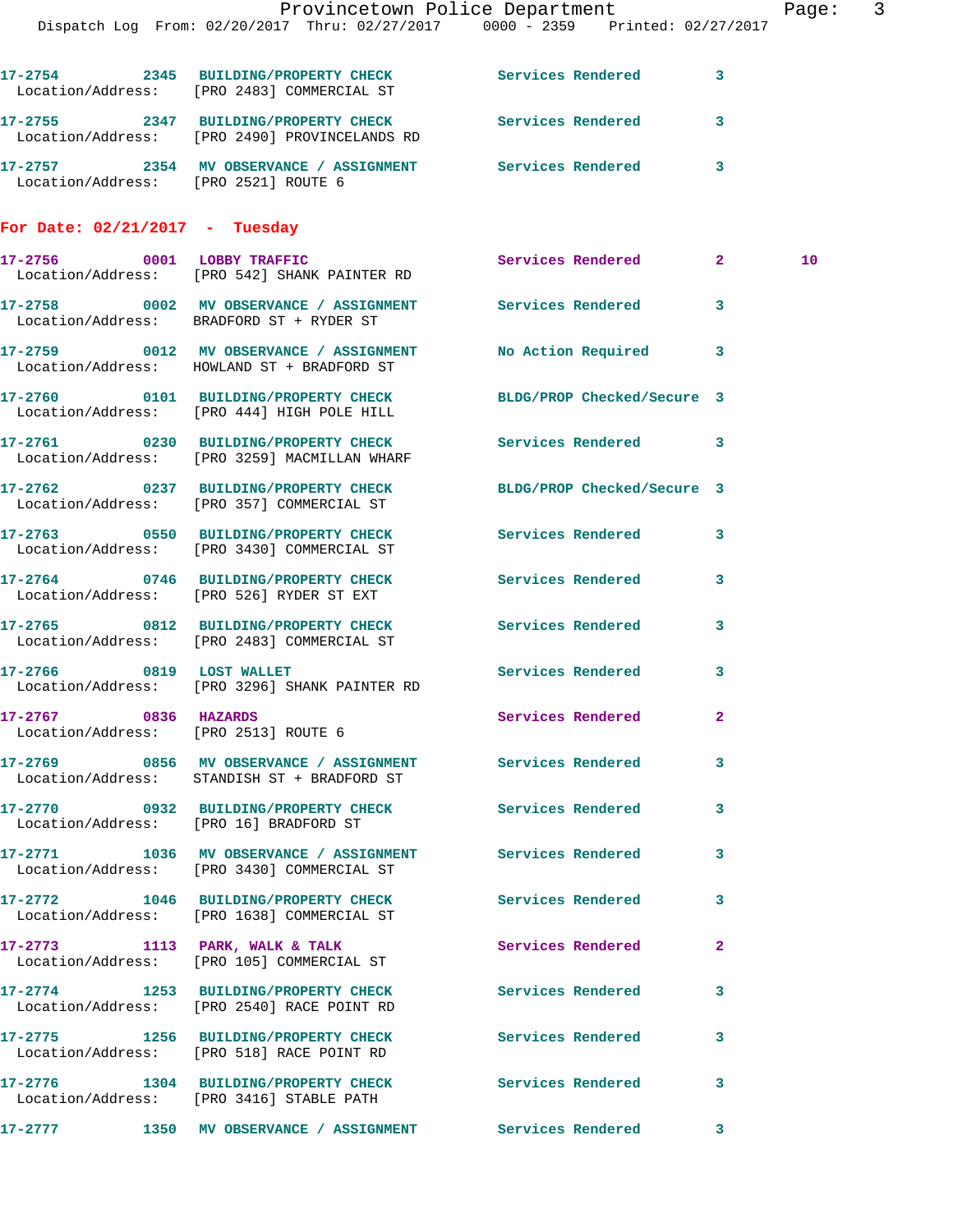|                                      | Provincetown Police Department                                                                                |                     |                     |              | Page |
|--------------------------------------|---------------------------------------------------------------------------------------------------------------|---------------------|---------------------|--------------|------|
|                                      | Dispatch Log From: 02/20/2017 Thru: 02/27/2017 0000 - 2359 Printed: 02/27/2017                                |                     |                     |              |      |
|                                      | 17-2754 2345 BUILDING/PROPERTY CHECK Services Rendered 3<br>Location/Address: [PRO 2483] COMMERCIAL ST        |                     |                     |              |      |
|                                      | 17-2755 2347 BUILDING/PROPERTY CHECK Services Rendered 3<br>Location/Address: [PRO 2490] PROVINCELANDS RD     |                     |                     |              |      |
| Location/Address: [PRO 2521] ROUTE 6 | 17-2757 2354 MV OBSERVANCE / ASSIGNMENT Services Rendered 3                                                   |                     |                     |              |      |
| For Date: $02/21/2017$ - Tuesday     |                                                                                                               |                     |                     |              |      |
|                                      | 17-2756 0001 LOBBY TRAFFIC<br>Location/Address: [PRO 542] SHANK PAINTER RD                                    | Services Rendered 2 |                     |              | 10   |
|                                      | 17-2758 0002 MV OBSERVANCE / ASSIGNMENT Services Rendered<br>Location/Address: BRADFORD ST + RYDER ST         |                     |                     | $\mathbf{3}$ |      |
|                                      | 17-2759 0012 MV OBSERVANCE / ASSIGNMENT No Action Required 3<br>Location/Address: HOWLAND ST + BRADFORD ST    |                     |                     |              |      |
|                                      | 17-2760 0101 BUILDING/PROPERTY CHECK BLDG/PROP Checked/Secure 3<br>Location/Address: [PRO 444] HIGH POLE HILL |                     |                     |              |      |
|                                      | 17-2761 0230 BUILDING/PROPERTY CHECK Services Rendered 3<br>Location/Address: [PRO 3259] MACMILLAN WHARF      |                     |                     |              |      |
|                                      | 17-2762 0237 BUILDING/PROPERTY CHECK BLDG/PROP Checked/Secure 3<br>Location/Address: [PRO 357] COMMERCIAL ST  |                     |                     |              |      |
|                                      | 17-2763 0550 BUILDING/PROPERTY CHECK Services Rendered<br>Location/Address: [PRO 3430] COMMERCIAL ST          |                     |                     | 3            |      |
|                                      | 17-2764 0746 BUILDING/PROPERTY CHECK<br>Location/Address: [PRO 526] RYDER ST EXT                              | Services Rendered   |                     | $\mathbf{3}$ |      |
|                                      | 17-2765 0812 BUILDING/PROPERTY CHECK<br>Location/Address: [PRO 2483] COMMERCIAL ST                            | Services Rendered   |                     | 3            |      |
|                                      | 17-2766 0819 LOST WALLET<br>Location/Address: [PRO 3296] SHANK PAINTER RD                                     |                     | Services Rendered 3 |              |      |
| 17-2767 0836 HAZARDS                 | Location/Address: [PRO 2513] ROUTE 6                                                                          |                     | Services Rendered   | $\mathbf{2}$ |      |
|                                      | 17-2769 0856 MV OBSERVANCE / ASSIGNMENT Services Rendered<br>Location/Address: STANDISH ST + BRADFORD ST      |                     |                     | $\mathbf{3}$ |      |
|                                      | 17-2770 0932 BUILDING/PROPERTY CHECK Services Rendered<br>Location/Address: [PRO 16] BRADFORD ST              |                     |                     | $\mathbf{3}$ |      |
|                                      | 17-2771 1036 MV OBSERVANCE / ASSIGNMENT Services Rendered<br>Location/Address: [PRO 3430] COMMERCIAL ST       |                     |                     | 3            |      |
|                                      | 17-2772 1046 BUILDING/PROPERTY CHECK Services Rendered 3<br>Location/Address: [PRO 1638] COMMERCIAL ST        |                     |                     |              |      |
|                                      | 17-2773 1113 PARK, WALK & TALK<br>Location/Address: [PRO 105] COMMERCIAL ST                                   |                     | Services Rendered   | $\mathbf{2}$ |      |
|                                      | 17-2774 1253 BUILDING/PROPERTY CHECK<br>Location/Address: [PRO 2540] RACE POINT RD                            | Services Rendered   |                     | 3            |      |
|                                      | 17-2775 1256 BUILDING/PROPERTY CHECK<br>Location/Address: [PRO 518] RACE POINT RD                             | Services Rendered   |                     | 3            |      |
|                                      | 17-2776 1304 BUILDING/PROPERTY CHECK<br>Location/Address: [PRO 3416] STABLE PATH                              | Services Rendered   |                     | 3            |      |
| 17-2777                              | 1350 MV OBSERVANCE / ASSIGNMENT Services Rendered                                                             |                     |                     | $\sim$ 3     |      |

Page: 3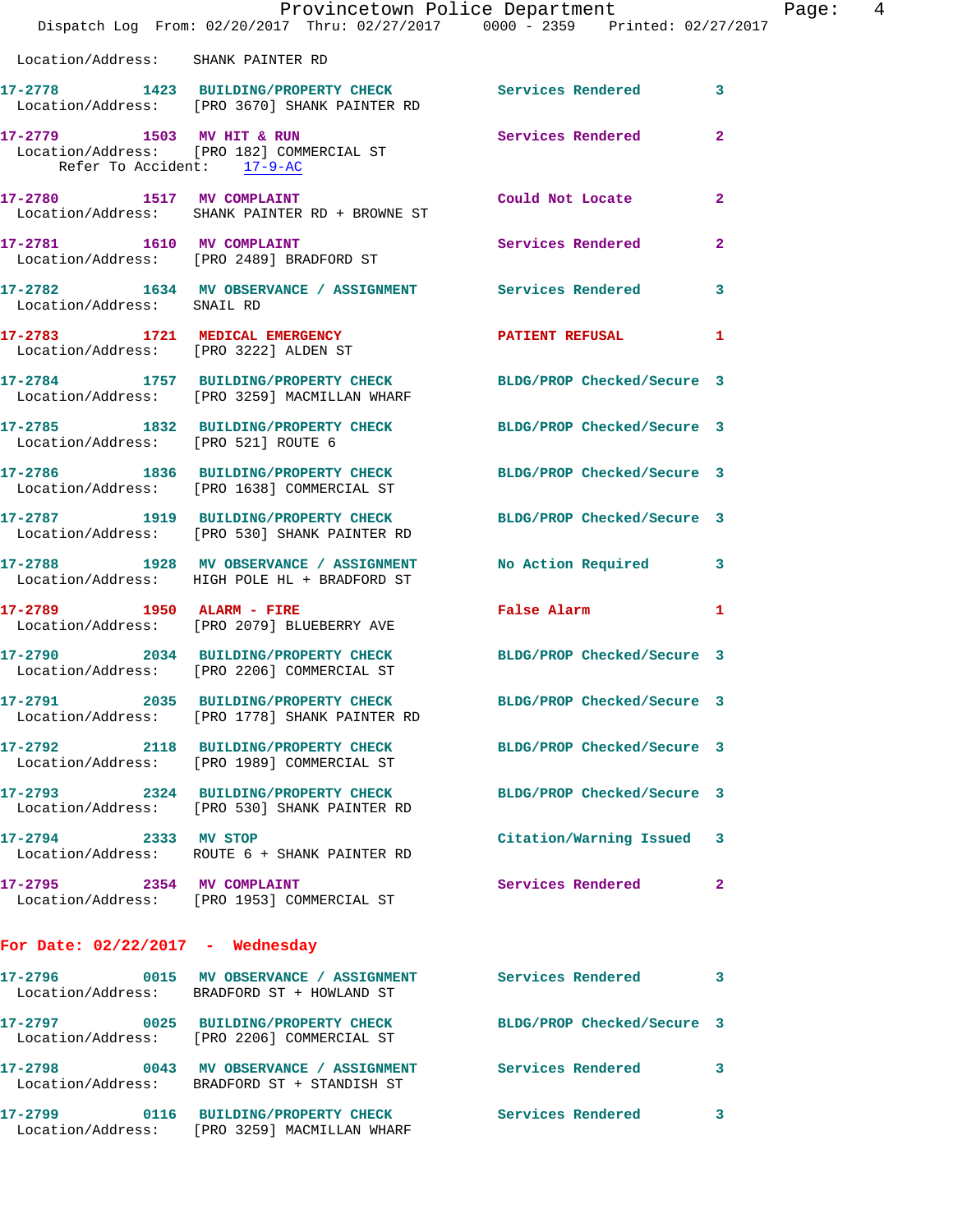|                                       | Provincetown Police Department<br>Dispatch Log From: 02/20/2017 Thru: 02/27/2017 0000 - 2359 Printed: 02/27/2017      |                            | Page: 4      |
|---------------------------------------|-----------------------------------------------------------------------------------------------------------------------|----------------------------|--------------|
| Location/Address: SHANK PAINTER RD    |                                                                                                                       |                            |              |
|                                       | 17-2778 1423 BUILDING/PROPERTY CHECK Services Rendered 3<br>Location/Address: [PRO 3670] SHANK PAINTER RD             |                            |              |
| Refer To Accident: 17-9-AC            | 17-2779 1503 MV HIT & RUN Services Rendered 2<br>Location/Address: [PRO 182] COMMERCIAL ST                            |                            |              |
|                                       | 17-2780 1517 MV COMPLAINT CONSTANT Could Not Locate 2<br>Location/Address: SHANK PAINTER RD + BROWNE ST               |                            |              |
|                                       | 17-2781 1610 MV COMPLAINT<br>Location/Address: [PRO 2489] BRADFORD ST                                                 | Services Rendered 2        |              |
| Location/Address: SNAIL RD            | 17-2782 1634 MV OBSERVANCE / ASSIGNMENT Services Rendered 3                                                           |                            |              |
| Location/Address: [PRO 3222] ALDEN ST | 17-2783 1721 MEDICAL EMERGENCY PATIENT REFUSAL 1                                                                      |                            |              |
|                                       | 17-2784 1757 BUILDING/PROPERTY CHECK BLDG/PROP Checked/Secure 3<br>Location/Address: [PRO 3259] MACMILLAN WHARF       |                            |              |
|                                       | 17-2785 1832 BUILDING/PROPERTY CHECK BLDG/PROP Checked/Secure 3<br>Location/Address: [PRO 521] ROUTE 6                |                            |              |
|                                       | 17-2786 1836 BUILDING/PROPERTY CHECK BLDG/PROP Checked/Secure 3<br>Location/Address: [PRO 1638] COMMERCIAL ST         |                            |              |
|                                       | 17-2787 1919 BUILDING/PROPERTY CHECK BLDG/PROP Checked/Secure 3<br>Location/Address: [PRO 530] SHANK PAINTER RD       |                            |              |
|                                       | 17-2788 1928 MV OBSERVANCE / ASSIGNMENT No Action Required 3<br>Location/Address: HIGH POLE HL + BRADFORD ST          |                            |              |
|                                       | 17-2789 1950 ALARM - FIRE<br>Location/Address: [PRO 2079] BLUEBERRY AVE                                               | False Alarm 1              |              |
|                                       | 17-2790 2034 BUILDING/PROPERTY CHECK BLDG/PROP Checked/Secure 3<br>Location/Address: [PRO 2206] COMMERCIAL ST         |                            |              |
|                                       | 17-2791 2035 BUILDING/PROPERTY CHECK<br>Location/Address: [PRO 1778] SHANK PAINTER RD                                 | BLDG/PROP Checked/Secure 3 |              |
|                                       | 17-2792 2118 BUILDING/PROPERTY CHECK<br>Location/Address: [PRO 1989] COMMERCIAL ST                                    | BLDG/PROP Checked/Secure 3 |              |
|                                       | 17-2793 2324 BUILDING/PROPERTY CHECK<br>Location/Address: [PRO 530] SHANK PAINTER RD                                  | BLDG/PROP Checked/Secure 3 |              |
| 17-2794 2333 MV STOP                  | Location/Address: ROUTE 6 + SHANK PAINTER RD                                                                          | Citation/Warning Issued 3  |              |
|                                       | 17-2795 2354 MV COMPLAINT<br>Location/Address: [PRO 1953] COMMERCIAL ST                                               | Services Rendered          | $\mathbf{2}$ |
| For Date: $02/22/2017$ - Wednesday    |                                                                                                                       |                            |              |
|                                       | 17-2796 6015 MV OBSERVANCE / ASSIGNMENT Services Rendered 3<br>Location/Address: BRADFORD ST + HOWLAND ST             |                            |              |
|                                       | 17-2797 0025 BUILDING/PROPERTY CHECK BLDG/PROP Checked/Secure 3<br>Location/Address: [PRO 2206] COMMERCIAL ST         |                            |              |
|                                       | 17-2798       0043   MV OBSERVANCE / ASSIGNMENT      Services Rendered<br>Location/Address: BRADFORD ST + STANDISH ST |                            | $\mathbf{3}$ |
|                                       | 17-2799 0116 BUILDING/PROPERTY CHECK                                                                                  | <b>Services Rendered</b> 3 |              |

Location/Address: [PRO 3259] MACMILLAN WHARF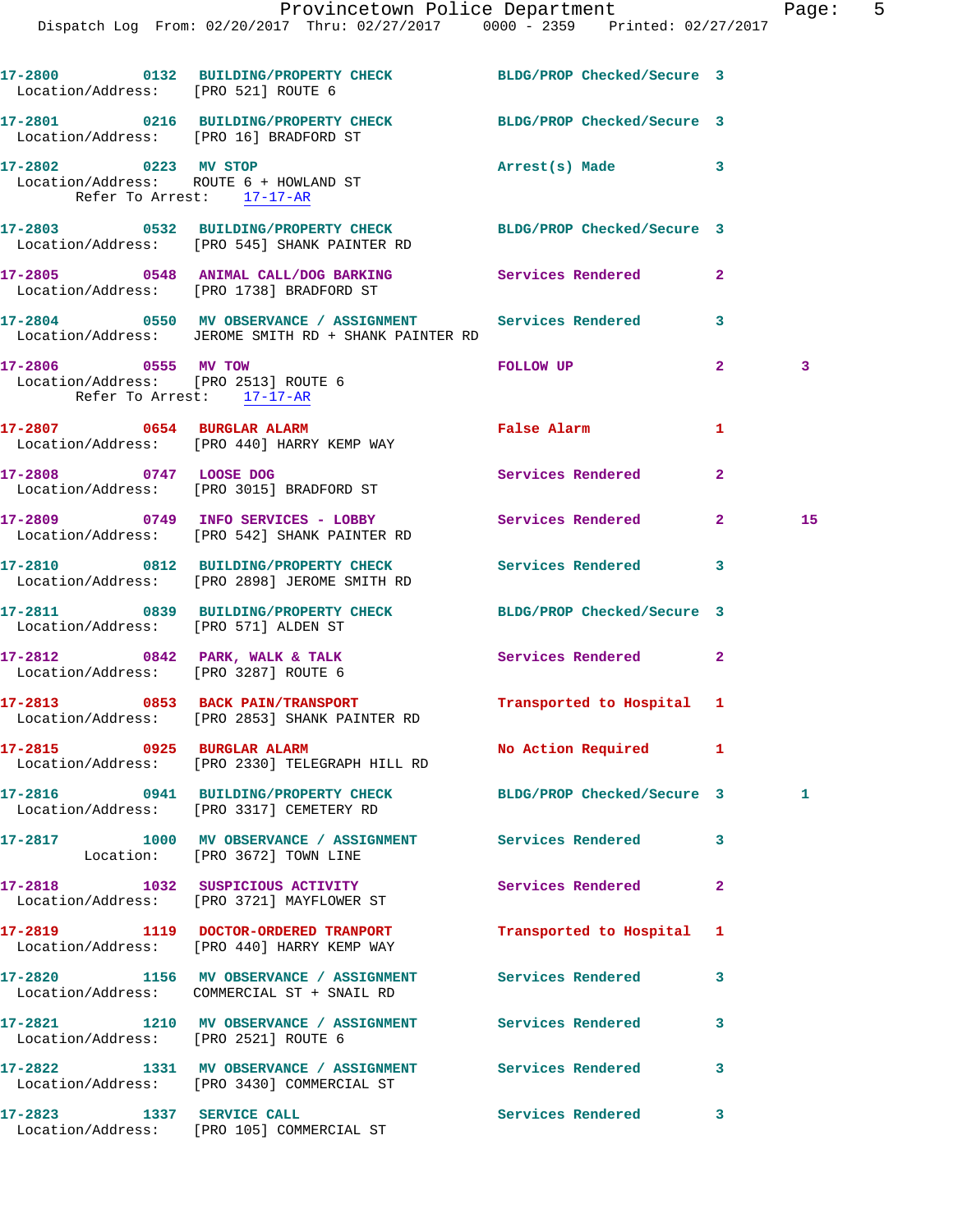|                                                                                          | Dispatch Log From: 02/20/2017 Thru: 02/27/2017 0000 - 2359 Printed: 02/27/2017                                    | Provincetown Police Department Page: 5 |              |    |  |
|------------------------------------------------------------------------------------------|-------------------------------------------------------------------------------------------------------------------|----------------------------------------|--------------|----|--|
|                                                                                          |                                                                                                                   |                                        |              |    |  |
|                                                                                          | 17-2800 0132 BUILDING/PROPERTY CHECK BLDG/PROP Checked/Secure 3<br>Location/Address: [PRO 521] ROUTE 6            |                                        |              |    |  |
| Location/Address: [PRO 16] BRADFORD ST                                                   | 17-2801 0216 BUILDING/PROPERTY CHECK BLDG/PROP Checked/Secure 3                                                   |                                        |              |    |  |
|                                                                                          | 17-2802 0223 MV STOP<br>Location/Address: ROUTE 6 + HOWLAND ST<br>Refer To Arrest: 17-17-AR                       | Arrest(s) Made 3                       |              |    |  |
|                                                                                          | 17-2803 0532 BUILDING/PROPERTY CHECK BLDG/PROP Checked/Secure 3<br>Location/Address: [PRO 545] SHANK PAINTER RD   |                                        |              |    |  |
|                                                                                          | 17-2805 0548 ANIMAL CALL/DOG BARKING Services Rendered 2<br>Location/Address: [PRO 1738] BRADFORD ST              |                                        |              |    |  |
|                                                                                          | 17-2804 0550 MV OBSERVANCE / ASSIGNMENT Services Rendered<br>Location/Address: JEROME SMITH RD + SHANK PAINTER RD |                                        | 3            |    |  |
| 17-2806 0555 MV TOW<br>Location/Address: [PRO 2513] ROUTE 6<br>Refer To Arrest: 17-17-AR |                                                                                                                   | <b>FOLLOW UP</b>                       | $\mathbf{2}$ | 3  |  |
|                                                                                          | 17-2807 0654 BURGLAR ALARM<br>Location/Address: [PRO 440] HARRY KEMP WAY                                          | False Alarm                            | 1            |    |  |
|                                                                                          | 17-2808 0747 LOOSE DOG<br>Location/Address: [PRO 3015] BRADFORD ST                                                | Services Rendered                      | $\mathbf{2}$ |    |  |
|                                                                                          | 17-2809 0749 INFO SERVICES - LOBBY Services Rendered 2<br>Location/Address: [PRO 542] SHANK PAINTER RD            |                                        |              | 15 |  |
|                                                                                          | 17-2810 0812 BUILDING/PROPERTY CHECK Services Rendered<br>Location/Address: [PRO 2898] JEROME SMITH RD            |                                        | 3            |    |  |
| Location/Address: [PRO 571] ALDEN ST                                                     | 17-2811 0839 BUILDING/PROPERTY CHECK BLDG/PROP Checked/Secure 3                                                   |                                        |              |    |  |
| Location/Address: [PRO 3287] ROUTE 6                                                     | 17-2812 0842 PARK, WALK & TALK 3 Services Rendered                                                                |                                        | $\mathbf{2}$ |    |  |
|                                                                                          | 17-2813 0853 BACK PAIN/TRANSPORT<br>Location/Address: [PRO 2853] SHANK PAINTER RD                                 | Transported to Hospital 1              |              |    |  |
| 17-2815 0925 BURGLAR ALARM                                                               | Location/Address: [PRO 2330] TELEGRAPH HILL RD                                                                    | No Action Required 1                   |              |    |  |
|                                                                                          | 17-2816 0941 BUILDING/PROPERTY CHECK<br>Location/Address: [PRO 3317] CEMETERY RD                                  | BLDG/PROP Checked/Secure 3             |              | 1  |  |
|                                                                                          | 17-2817 1000 MV OBSERVANCE / ASSIGNMENT Services Rendered<br>Location: [PRO 3672] TOWN LINE                       |                                        | 3            |    |  |
|                                                                                          | 17-2818 1032 SUSPICIOUS ACTIVITY<br>Location/Address: [PRO 3721] MAYFLOWER ST                                     | Services Rendered                      | $\mathbf{2}$ |    |  |
|                                                                                          | 17-2819 1119 DOCTOR-ORDERED TRANPORT<br>Location/Address: [PRO 440] HARRY KEMP WAY                                | Transported to Hospital 1              |              |    |  |
|                                                                                          | 17-2820 1156 MV OBSERVANCE / ASSIGNMENT Services Rendered 3<br>Location/Address: COMMERCIAL ST + SNAIL RD         |                                        |              |    |  |
| Location/Address: [PRO 2521] ROUTE 6                                                     | 17-2821 1210 MV OBSERVANCE / ASSIGNMENT Services Rendered                                                         |                                        | 3            |    |  |
|                                                                                          | 17-2822 1331 MV OBSERVANCE / ASSIGNMENT Services Rendered<br>Location/Address: [PRO 3430] COMMERCIAL ST           |                                        | 3            |    |  |
| 17-2823 1337 SERVICE CALL                                                                |                                                                                                                   | Services Rendered                      | 3            |    |  |

Location/Address: [PRO 105] COMMERCIAL ST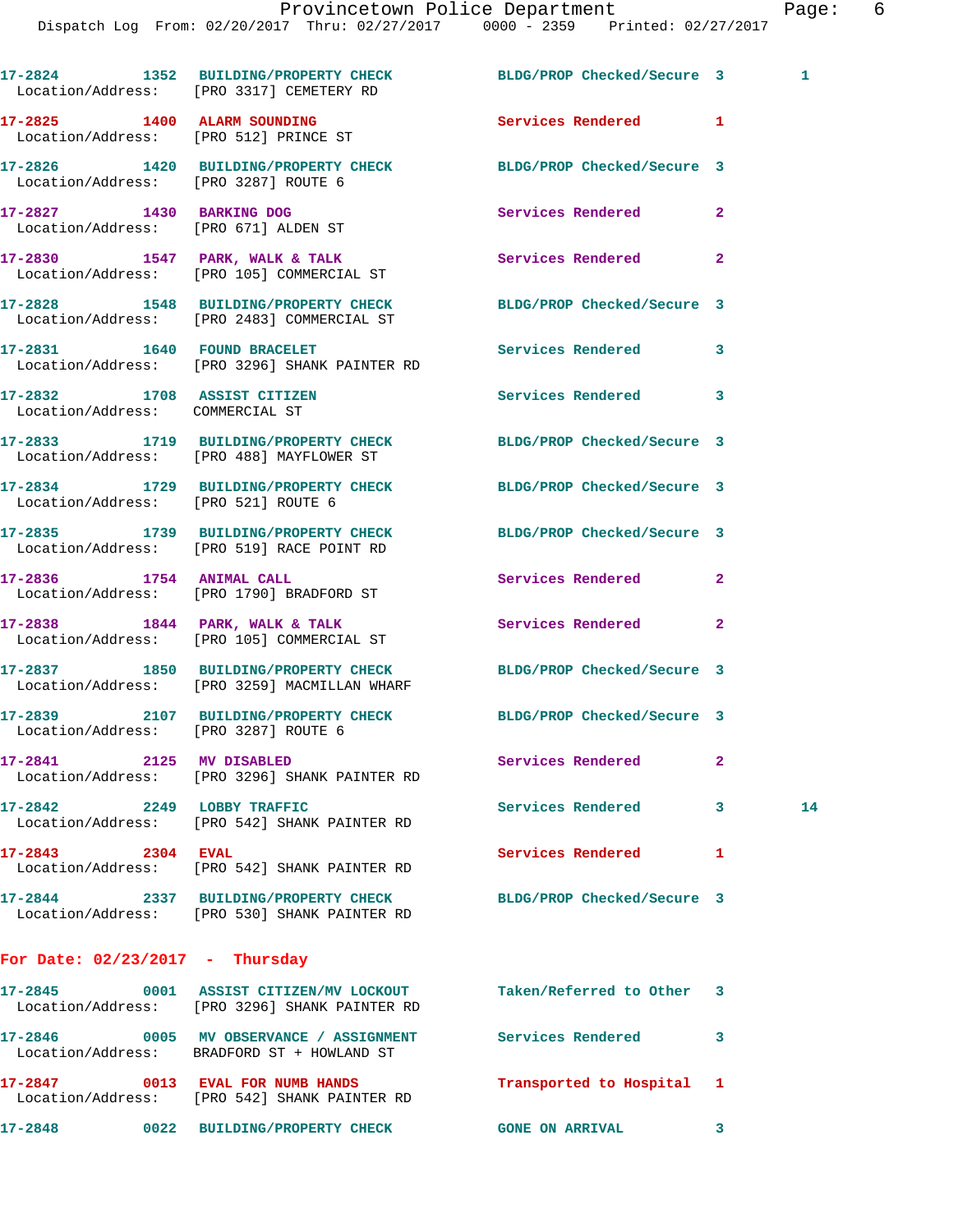|                                                                  | 17-2824 1352 BUILDING/PROPERTY CHECK BLDG/PROP Checked/Secure 3<br>Location/Address: [PRO 3317] CEMETERY RD  |                            |              | 1. |
|------------------------------------------------------------------|--------------------------------------------------------------------------------------------------------------|----------------------------|--------------|----|
|                                                                  | 17-2825 1400 ALARM SOUNDING<br>Location/Address: [PRO 512] PRINCE ST                                         | Services Rendered 1        |              |    |
|                                                                  | 17-2826 1420 BUILDING/PROPERTY CHECK BLDG/PROP Checked/Secure 3<br>Location/Address: [PRO 3287] ROUTE 6      |                            |              |    |
| 17-2827 1430 BARKING DOG<br>Location/Address: [PRO 671] ALDEN ST |                                                                                                              | Services Rendered          | $\mathbf{2}$ |    |
|                                                                  | $17-2830$ $1547$ PARK, WALK & TALK<br>Location/Address: [PRO 105] COMMERCIAL ST                              | Services Rendered          | $\mathbf{2}$ |    |
|                                                                  | 17-2828 1548 BUILDING/PROPERTY CHECK<br>Location/Address: [PRO 2483] COMMERCIAL ST                           | BLDG/PROP Checked/Secure 3 |              |    |
|                                                                  | 17-2831 1640 FOUND BRACELET<br>Location/Address: [PRO 3296] SHANK PAINTER RD                                 | Services Rendered 3        |              |    |
| 17-2832 1708 ASSIST CITIZEN<br>Location/Address: COMMERCIAL ST   |                                                                                                              | <b>Services Rendered</b>   | 3            |    |
|                                                                  | 17-2833 1719 BUILDING/PROPERTY CHECK BLDG/PROP Checked/Secure 3<br>Location/Address: [PRO 488] MAYFLOWER ST  |                            |              |    |
| Location/Address: [PRO 521] ROUTE 6                              | 17-2834 1729 BUILDING/PROPERTY CHECK BLDG/PROP Checked/Secure 3                                              |                            |              |    |
|                                                                  | 17-2835 1739 BUILDING/PROPERTY CHECK BLDG/PROP Checked/Secure 3<br>Location/Address: [PRO 519] RACE POINT RD |                            |              |    |
|                                                                  | 17-2836 1754 ANIMAL CALL<br>Location/Address: [PRO 1790] BRADFORD ST                                         | Services Rendered          | $\mathbf{2}$ |    |
|                                                                  | $17-2838$ 1844 PARK, WALK & TALK<br>Location/Address: [PRO 105] COMMERCIAL ST                                | Services Rendered          | $\mathbf{2}$ |    |
|                                                                  | 17-2837 1850 BUILDING/PROPERTY CHECK<br>Location/Address: [PRO 3259] MACMILLAN WHARF                         | BLDG/PROP Checked/Secure 3 |              |    |
| Location/Address: [PRO 3287] ROUTE 6                             | 17-2839 2107 BUILDING/PROPERTY CHECK BLDG/PROP Checked/Secure 3                                              |                            |              |    |
| 17-2841 2125 MV DISABLED                                         | Location/Address: [PRO 3296] SHANK PAINTER RD                                                                | Services Rendered          | $\mathbf{2}$ |    |
| 17-2842 2249 LOBBY TRAFFIC                                       | Location/Address: [PRO 542] SHANK PAINTER RD                                                                 | <b>Services Rendered</b>   | $\mathbf{3}$ | 14 |
| 17-2843 2304 EVAL                                                | Location/Address: [PRO 542] SHANK PAINTER RD                                                                 | <b>Services Rendered</b>   | 1            |    |
|                                                                  | 17-2844 2337 BUILDING/PROPERTY CHECK<br>Location/Address: [PRO 530] SHANK PAINTER RD                         | BLDG/PROP Checked/Secure 3 |              |    |
| For Date: $02/23/2017$ - Thursday                                |                                                                                                              |                            |              |    |
|                                                                  | 17-2845 0001 ASSIST CITIZEN/MV LOCKOUT<br>Location/Address: [PRO 3296] SHANK PAINTER RD                      | Taken/Referred to Other 3  |              |    |
|                                                                  | 17-2846 0005 MV OBSERVANCE / ASSIGNMENT<br>Location/Address: BRADFORD ST + HOWLAND ST                        | <b>Services Rendered</b>   | 3            |    |
| 17-2847 0013 EVAL FOR NUMB HANDS                                 | Location/Address: [PRO 542] SHANK PAINTER RD                                                                 | Transported to Hospital 1  |              |    |

**17-2848 0022 BUILDING/PROPERTY CHECK GONE ON ARRIVAL 3**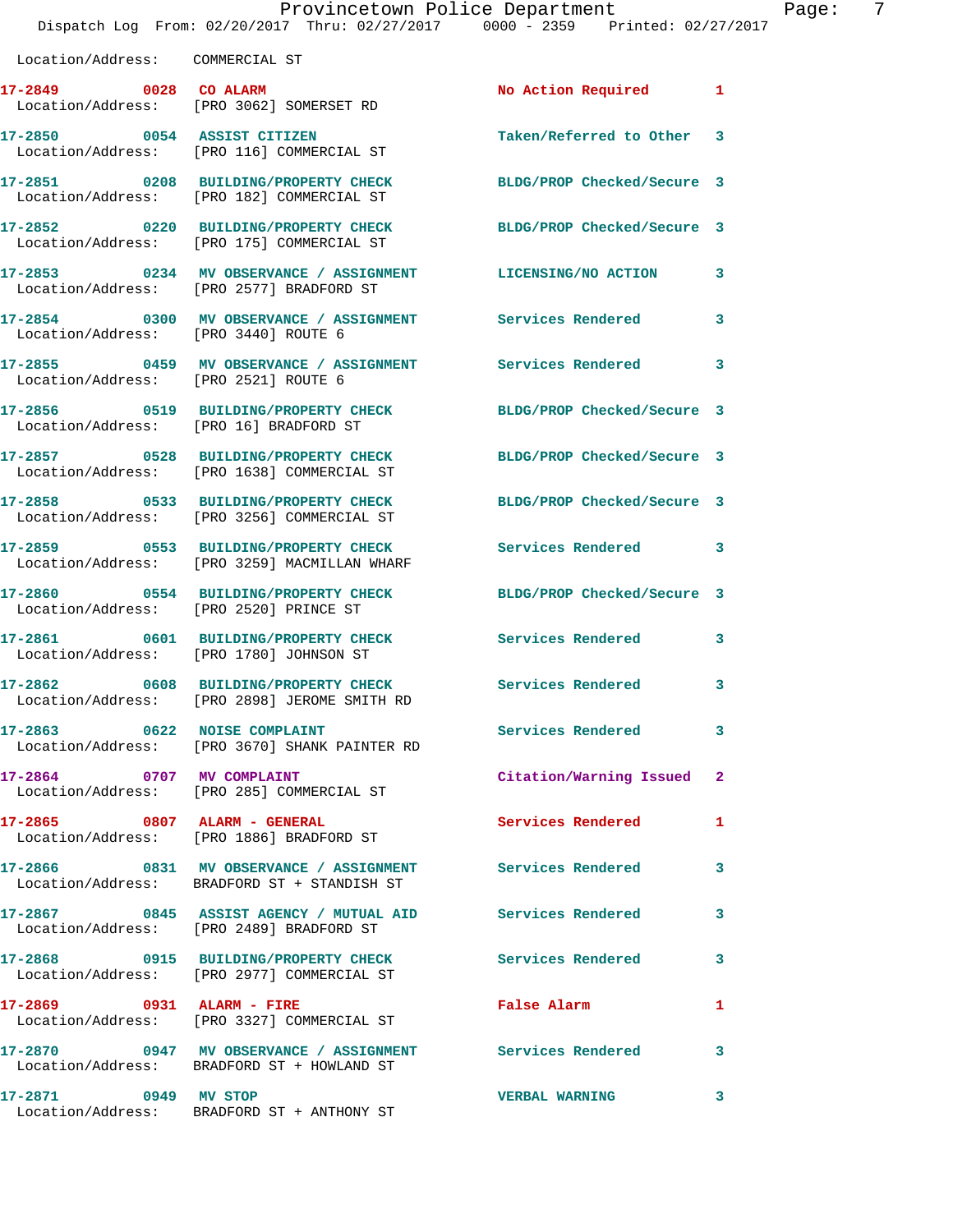|                                        | Provincetown Police Department<br>Dispatch Log From: 02/20/2017 Thru: 02/27/2017 0000 - 2359 Printed: 02/27/2017 |                            |              |
|----------------------------------------|------------------------------------------------------------------------------------------------------------------|----------------------------|--------------|
| Location/Address: COMMERCIAL ST        |                                                                                                                  |                            |              |
| 17-2849 0028 CO ALARM                  | Location/Address: [PRO 3062] SOMERSET RD                                                                         | No Action Required         | 1            |
|                                        | 17-2850 0054 ASSIST CITIZEN<br>Location/Address: [PRO 116] COMMERCIAL ST                                         | Taken/Referred to Other    | 3            |
|                                        | 17-2851 0208 BUILDING/PROPERTY CHECK<br>Location/Address: [PRO 182] COMMERCIAL ST                                | BLDG/PROP Checked/Secure 3 |              |
|                                        | 17-2852 0220 BUILDING/PROPERTY CHECK<br>Location/Address: [PRO 175] COMMERCIAL ST                                | BLDG/PROP Checked/Secure 3 |              |
|                                        | 17-2853 0234 MV OBSERVANCE / ASSIGNMENT LICENSING/NO ACTION<br>Location/Address: [PRO 2577] BRADFORD ST          |                            | 3            |
| Location/Address: [PRO 3440] ROUTE 6   | 17-2854 0300 MV OBSERVANCE / ASSIGNMENT Services Rendered                                                        |                            | 3            |
| Location/Address: [PRO 2521] ROUTE 6   | 17-2855 0459 MV OBSERVANCE / ASSIGNMENT Services Rendered                                                        |                            | 3            |
| Location/Address: [PRO 16] BRADFORD ST | 17-2856 0519 BUILDING/PROPERTY CHECK                                                                             | BLDG/PROP Checked/Secure 3 |              |
|                                        | 17-2857 0528 BUILDING/PROPERTY CHECK<br>Location/Address: [PRO 1638] COMMERCIAL ST                               | BLDG/PROP Checked/Secure 3 |              |
|                                        | 17-2858 0533 BUILDING/PROPERTY CHECK<br>Location/Address: [PRO 3256] COMMERCIAL ST                               | BLDG/PROP Checked/Secure 3 |              |
|                                        | 17-2859 0553 BUILDING/PROPERTY CHECK<br>Location/Address: [PRO 3259] MACMILLAN WHARF                             | Services Rendered          | 3            |
| Location/Address: [PRO 2520] PRINCE ST | 17-2860 0554 BUILDING/PROPERTY CHECK                                                                             | BLDG/PROP Checked/Secure 3 |              |
|                                        | 17-2861 0601 BUILDING/PROPERTY CHECK<br>Location/Address: [PRO 1780] JOHNSON ST                                  | <b>Services Rendered</b>   | 3            |
| 17-2862                                | 0608 BUILDING/PROPERTY CHECK<br>Location/Address: [PRO 2898] JEROME SMITH RD                                     | Services Rendered          | 3            |
| 17-2863 0622 NOISE COMPLAINT           | Location/Address: [PRO 3670] SHANK PAINTER RD                                                                    | <b>Services Rendered</b>   | 3            |
|                                        | 17-2864 0707 MV COMPLAINT<br>Location/Address: [PRO 285] COMMERCIAL ST                                           | Citation/Warning Issued    | $\mathbf{2}$ |
| 17-2865 0807 ALARM - GENERAL           | Location/Address: [PRO 1886] BRADFORD ST                                                                         | Services Rendered          | 1            |
|                                        | 17-2866 6831 MV OBSERVANCE / ASSIGNMENT Services Rendered<br>Location/Address: BRADFORD ST + STANDISH ST         |                            | 3            |
|                                        | 17-2867 6845 ASSIST AGENCY / MUTUAL AID Services Rendered<br>Location/Address: [PRO 2489] BRADFORD ST            |                            | 3            |
|                                        | 17-2868 0915 BUILDING/PROPERTY CHECK<br>Location/Address: [PRO 2977] COMMERCIAL ST                               | <b>Services Rendered</b>   | 3            |
| 17-2869 0931 ALARM - FIRE              | Location/Address: [PRO 3327] COMMERCIAL ST                                                                       | False Alarm                | 1            |
|                                        | 17-2870 0947 MV OBSERVANCE / ASSIGNMENT Services Rendered<br>Location/Address: BRADFORD ST + HOWLAND ST          |                            | 3            |
| 17-2871 0949 MV STOP                   |                                                                                                                  | <b>VERBAL WARNING</b>      | 3            |

Location/Address: BRADFORD ST + ANTHONY ST

Page: 7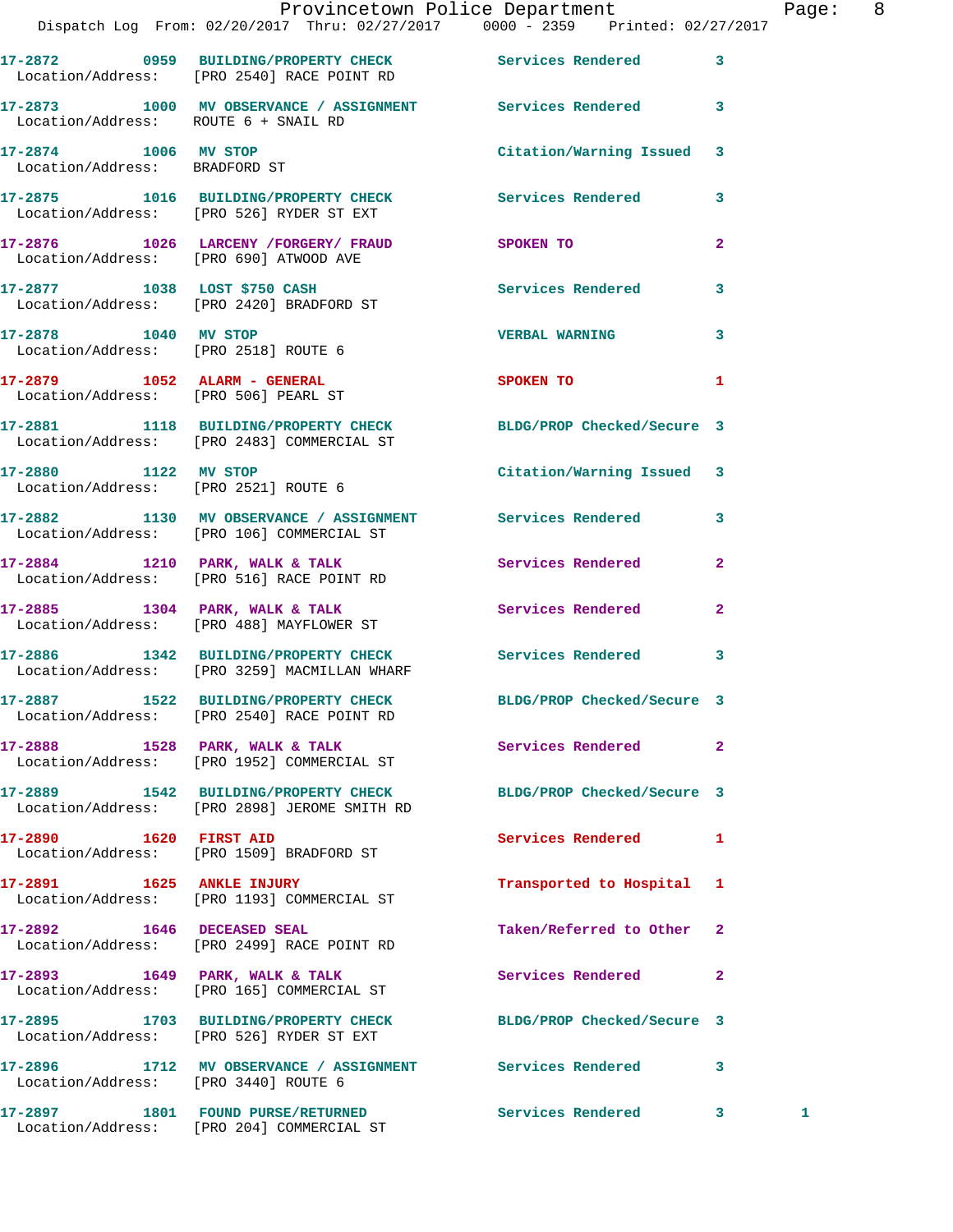|                                                       | Provincetown Police Department The Page: 8<br>Dispatch Log From: 02/20/2017 Thru: 02/27/2017   0000 - 2359   Printed: 02/27/2017 |                            |              |  |
|-------------------------------------------------------|----------------------------------------------------------------------------------------------------------------------------------|----------------------------|--------------|--|
|                                                       | 17-2872 0959 BUILDING/PROPERTY CHECK Services Rendered<br>Location/Address: [PRO 2540] RACE POINT RD                             |                            | $\mathbf{3}$ |  |
| Location/Address: ROUTE 6 + SNAIL RD                  | 17-2873 1000 MV OBSERVANCE / ASSIGNMENT Services Rendered 3                                                                      |                            |              |  |
| 17-2874 1006 MV STOP<br>Location/Address: BRADFORD ST |                                                                                                                                  | Citation/Warning Issued 3  |              |  |
|                                                       | 17-2875 1016 BUILDING/PROPERTY CHECK Services Rendered 3<br>Location/Address: [PRO 526] RYDER ST EXT                             |                            |              |  |
|                                                       | 17-2876 1026 LARCENY /FORGERY / FRAUD SPOKEN TO<br>Location/Address: [PRO 690] ATWOOD AVE                                        |                            | $\mathbf{2}$ |  |
|                                                       | 17-2877 1038 LOST \$750 CASH Services Rendered<br>Location/Address: [PRO 2420] BRADFORD ST                                       |                            | 3            |  |
| 17-2878 1040 MV STOP                                  | Location/Address: [PRO 2518] ROUTE 6                                                                                             | <b>VERBAL WARNING</b>      | 3            |  |
| Location/Address: [PRO 506] PEARL ST                  | 17-2879 1052 ALARM - GENERAL                                                                                                     | <b>SPOKEN TO</b>           | 1            |  |
|                                                       | 17-2881 1118 BUILDING/PROPERTY CHECK BLDG/PROP Checked/Secure 3<br>Location/Address: [PRO 2483] COMMERCIAL ST                    |                            |              |  |
| Location/Address: [PRO 2521] ROUTE 6                  | 17-2880 1122 MV STOP                                                                                                             | Citation/Warning Issued 3  |              |  |
|                                                       | 17-2882 1130 MV OBSERVANCE / ASSIGNMENT Services Rendered 3<br>Location/Address: [PRO 106] COMMERCIAL ST                         |                            |              |  |
|                                                       | 17-2884 1210 PARK, WALK & TALK Services Rendered<br>Location/Address: [PRO 516] RACE POINT RD                                    |                            | $\mathbf{2}$ |  |
|                                                       | 17-2885 1304 PARK, WALK & TALK 1988 Services Rendered<br>Location/Address: [PRO 488] MAYFLOWER ST                                |                            | $\mathbf{2}$ |  |
|                                                       | 17-2886 1342 BUILDING/PROPERTY CHECK Services Rendered 3<br>Location/Address: [PRO 3259] MACMILLAN WHARF                         |                            |              |  |
|                                                       | 17-2887 1522 BUILDING/PROPERTY CHECK<br>Location/Address: [PRO 2540] RACE POINT RD                                               | BLDG/PROP Checked/Secure 3 |              |  |
|                                                       | 17-2888 1528 PARK, WALK & TALK<br>Location/Address: [PRO 1952] COMMERCIAL ST                                                     | Services Rendered          | $\mathbf{2}$ |  |
|                                                       | 17-2889 1542 BUILDING/PROPERTY CHECK<br>Location/Address: [PRO 2898] JEROME SMITH RD                                             | BLDG/PROP Checked/Secure 3 |              |  |
|                                                       | Location/Address: [PRO 1509] BRADFORD ST                                                                                         | Services Rendered          | 1            |  |
| 17-2891 1625 ANKLE INJURY                             | Location/Address: [PRO 1193] COMMERCIAL ST                                                                                       | Transported to Hospital 1  |              |  |
|                                                       | 17-2892 1646 DECEASED SEAL<br>Location/Address: [PRO 2499] RACE POINT RD                                                         | Taken/Referred to Other 2  |              |  |
|                                                       | 17-2893 1649 PARK, WALK & TALK<br>Location/Address: [PRO 165] COMMERCIAL ST                                                      | Services Rendered          | $\mathbf{2}$ |  |
|                                                       | 17-2895 1703 BUILDING/PROPERTY CHECK<br>Location/Address: [PRO 526] RYDER ST EXT                                                 | BLDG/PROP Checked/Secure 3 |              |  |
| Location/Address: [PRO 3440] ROUTE 6                  | 17-2896 1712 MV OBSERVANCE / ASSIGNMENT Services Rendered                                                                        |                            | 3            |  |

**17-2897 1801 FOUND PURSE/RETURNED Services Rendered 3 1**  Location/Address: [PRO 204] COMMERCIAL ST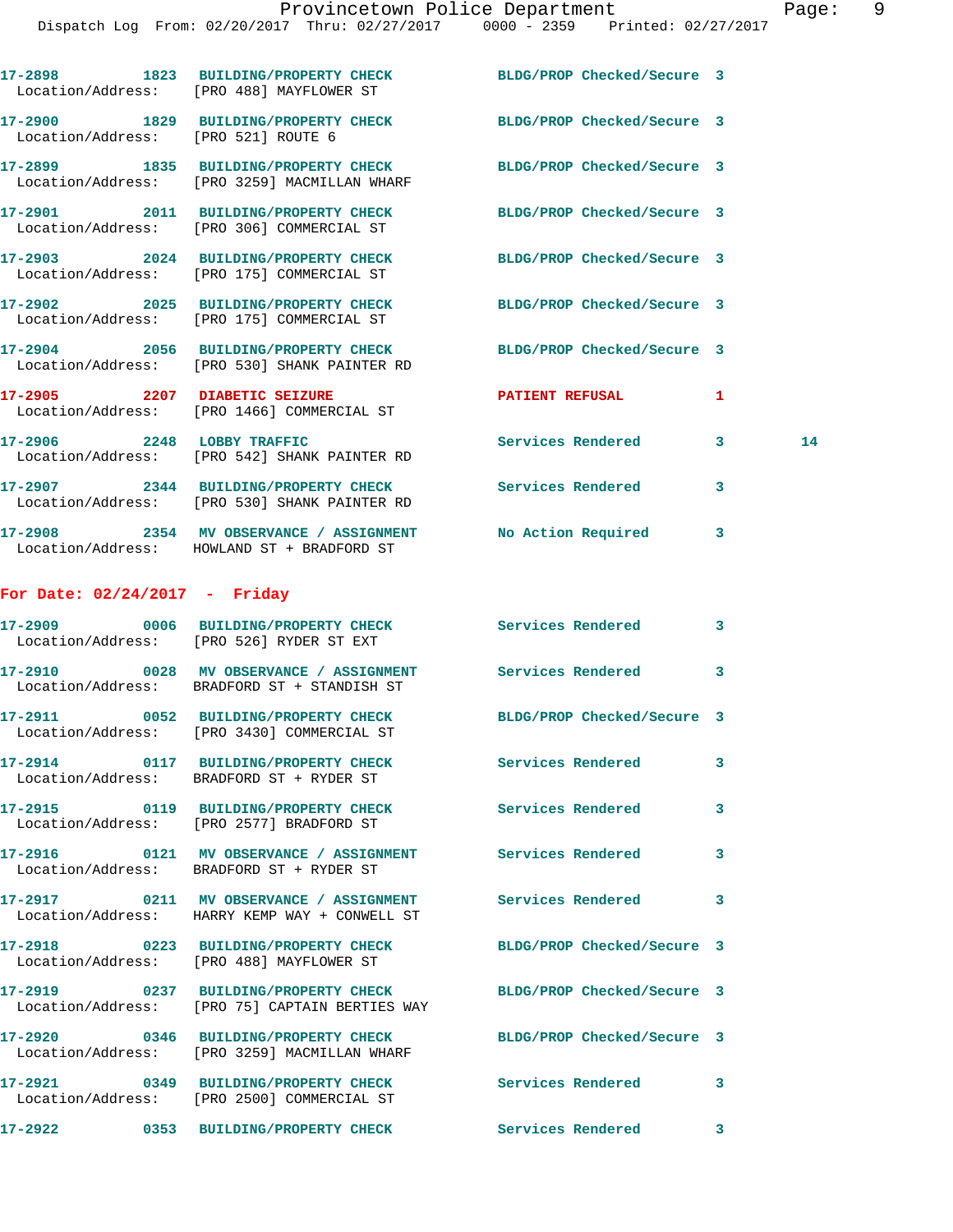|                                     | 17-2898 1823 BUILDING/PROPERTY CHECK<br>Location/Address: [PRO 488] MAYFLOWER ST                                        | BLDG/PROP Checked/Secure 3 |         |  |
|-------------------------------------|-------------------------------------------------------------------------------------------------------------------------|----------------------------|---------|--|
| Location/Address: [PRO 521] ROUTE 6 | 17-2900 1829 BUILDING/PROPERTY CHECK                                                                                    | BLDG/PROP Checked/Secure 3 |         |  |
|                                     | 17-2899 1835 BUILDING/PROPERTY CHECK<br>Location/Address: [PRO 3259] MACMILLAN WHARF                                    | BLDG/PROP Checked/Secure 3 |         |  |
|                                     | 17-2901 2011 BUILDING/PROPERTY CHECK<br>Location/Address: [PRO 306] COMMERCIAL ST                                       | BLDG/PROP Checked/Secure 3 |         |  |
|                                     | 17-2903 2024 BUILDING/PROPERTY CHECK<br>Location/Address: [PRO 175] COMMERCIAL ST                                       | BLDG/PROP Checked/Secure 3 |         |  |
|                                     | 17-2902 2025 BUILDING/PROPERTY CHECK<br>Location/Address: [PRO 175] COMMERCIAL ST                                       | BLDG/PROP Checked/Secure 3 |         |  |
|                                     | 17-2904 2056 BUILDING/PROPERTY CHECK<br>Location/Address: [PRO 530] SHANK PAINTER RD                                    | BLDG/PROP Checked/Secure 3 |         |  |
| 17-2905 2207 DIABETIC SEIZURE       | Location/Address: [PRO 1466] COMMERCIAL ST                                                                              | <b>PATIENT REFUSAL</b>     | 1       |  |
|                                     | 17-2906 2248 LOBBY TRAFFIC<br>Location/Address: [PRO 542] SHANK PAINTER RD                                              | Services Rendered          | 3<br>14 |  |
|                                     | 17-2907 2344 BUILDING/PROPERTY CHECK<br>Location/Address: [PRO 530] SHANK PAINTER RD                                    | Services Rendered          | 3       |  |
|                                     | 17-2908 2354 MV OBSERVANCE / ASSIGNMENT No Action Required 3<br>Location/Address: HOWLAND ST + BRADFORD ST              |                            |         |  |
| For Date: $02/24/2017$ - Friday     |                                                                                                                         |                            |         |  |
|                                     | 17-2909 0006 BUILDING/PROPERTY CHECK Services Rendered<br>Location/Address: [PRO 526] RYDER ST EXT                      |                            | 3       |  |
|                                     | 17-2910 0028 MV OBSERVANCE / ASSIGNMENT Services Rendered<br>Location/Address: BRADFORD ST + STANDISH ST                |                            | 3       |  |
|                                     | 17-2911 0052 BUILDING/PROPERTY CHECK BLDG/PROP Checked/Secure 3<br>Location/Address: [PRO 3430] COMMERCIAL ST           |                            |         |  |
| 17-2914                             | 0117 BUILDING/PROPERTY CHECK<br>Location/Address: BRADFORD ST + RYDER ST                                                | Services Rendered          | 3       |  |
|                                     | 17-2915 0119 BUILDING/PROPERTY CHECK<br>Location/Address: [PRO 2577] BRADFORD ST                                        | Services Rendered 3        |         |  |
|                                     | 17-2916   0121 MV OBSERVANCE / ASSIGNMENT   Services Rendered<br>Location/Address: BRADFORD ST + RYDER ST               |                            | 3       |  |
|                                     | 17-2917       0211   MV OBSERVANCE / ASSIGNMENT      Services Rendered<br>Location/Address: HARRY KEMP WAY + CONWELL ST |                            | 3       |  |
|                                     | 17-2918 0223 BUILDING/PROPERTY CHECK BLDG/PROP Checked/Secure 3<br>Location/Address: [PRO 488] MAYFLOWER ST             |                            |         |  |
|                                     | 17-2919 		 0237 BUILDING/PROPERTY CHECK 		BLDG/PROP Checked/Secure 3<br>Location/Address: [PRO 75] CAPTAIN BERTIES WAY  |                            |         |  |
|                                     | 17-2920 0346 BUILDING/PROPERTY CHECK BLDG/PROP Checked/Secure 3<br>Location/Address: [PRO 3259] MACMILLAN WHARF         |                            |         |  |
|                                     | 17-2921 0349 BUILDING/PROPERTY CHECK Services Rendered 3<br>Location/Address: [PRO 2500] COMMERCIAL ST                  |                            |         |  |
|                                     | 17-2922  0353 BUILDING/PROPERTY CHECK  Services Rendered                                                                |                            | 3       |  |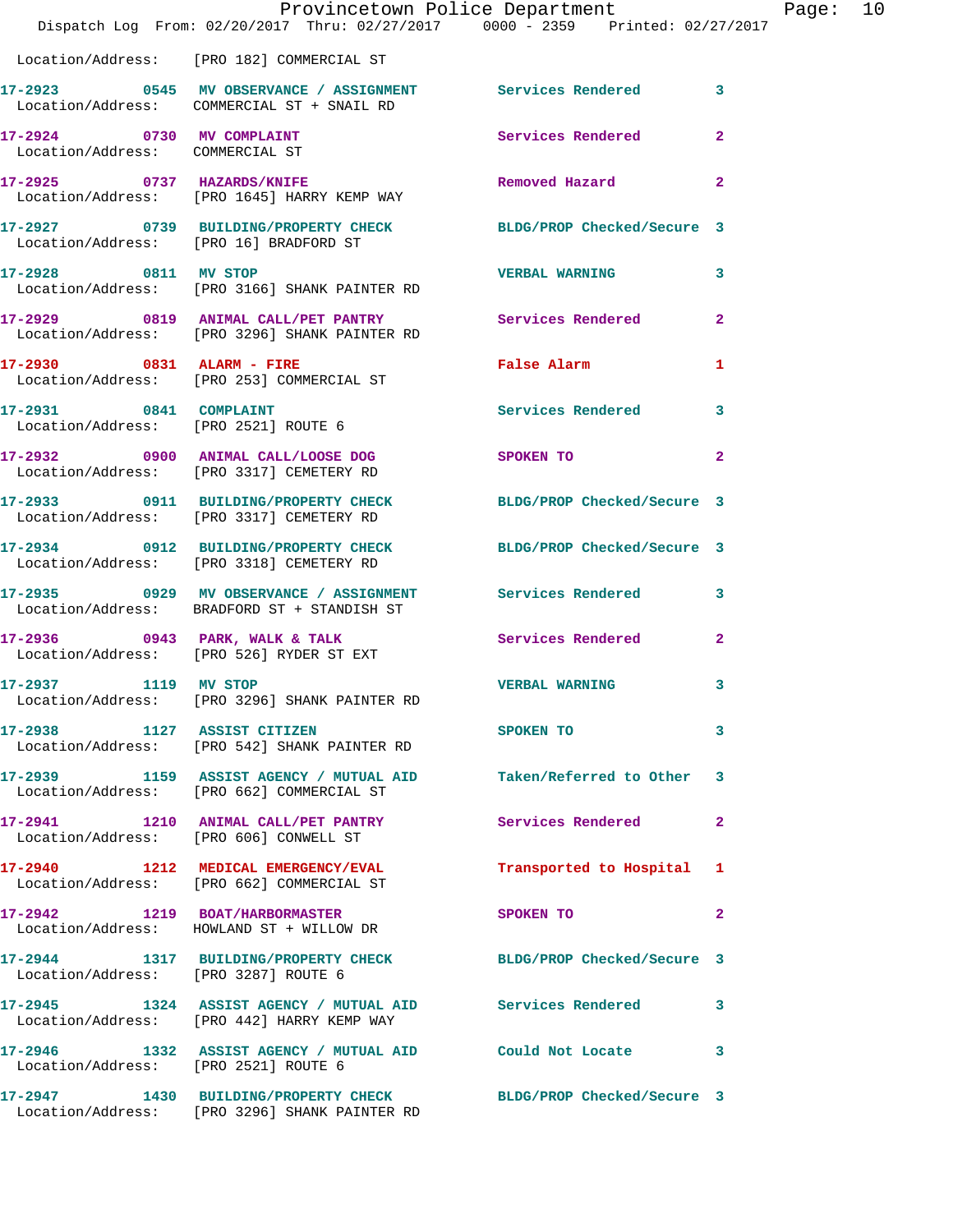|                                                              | Provincetown Police Department<br>Dispatch Log From: 02/20/2017 Thru: 02/27/2017 0000 - 2359 Printed: 02/27/2017 |                            |                |
|--------------------------------------------------------------|------------------------------------------------------------------------------------------------------------------|----------------------------|----------------|
|                                                              | Location/Address: [PRO 182] COMMERCIAL ST                                                                        |                            |                |
|                                                              | 17-2923 0545 MV OBSERVANCE / ASSIGNMENT Services Rendered<br>Location/Address: COMMERCIAL ST + SNAIL RD          |                            | 3              |
| 17-2924 0730 MV COMPLAINT<br>Location/Address: COMMERCIAL ST |                                                                                                                  | Services Rendered          | $\mathbf{2}$   |
|                                                              | 17-2925 0737 HAZARDS/KNIFE<br>Location/Address: [PRO 1645] HARRY KEMP WAY                                        | Removed Hazard             | 2              |
|                                                              | 17-2927 0739 BUILDING/PROPERTY CHECK BLDG/PROP Checked/Secure 3<br>Location/Address: [PRO 16] BRADFORD ST        |                            |                |
|                                                              | 17-2928 0811 MV STOP<br>Location/Address: [PRO 3166] SHANK PAINTER RD                                            | <b>VERBAL WARNING</b>      | 3              |
|                                                              | 17-2929 0819 ANIMAL CALL/PET PANTRY Services Rendered<br>Location/Address: [PRO 3296] SHANK PAINTER RD           |                            | $\overline{a}$ |
|                                                              | 17-2930 0831 ALARM - FIRE<br>Location/Address: [PRO 253] COMMERCIAL ST                                           | <b>False Alarm</b>         | 1              |
| 17-2931 0841 COMPLAINT                                       | Location/Address: [PRO 2521] ROUTE 6                                                                             | Services Rendered          | 3              |
|                                                              | 17-2932 0900 ANIMAL CALL/LOOSE DOG<br>Location/Address: [PRO 3317] CEMETERY RD                                   | SPOKEN TO                  | 2              |
|                                                              | 17-2933 0911 BUILDING/PROPERTY CHECK<br>Location/Address: [PRO 3317] CEMETERY RD                                 | BLDG/PROP Checked/Secure 3 |                |
|                                                              | 17-2934 0912 BUILDING/PROPERTY CHECK<br>Location/Address: [PRO 3318] CEMETERY RD                                 | BLDG/PROP Checked/Secure 3 |                |
|                                                              | 17-2935 0929 MV OBSERVANCE / ASSIGNMENT Services Rendered<br>Location/Address: BRADFORD ST + STANDISH ST         |                            | 3              |
|                                                              | $17-2936$ 0943 PARK, WALK & TALK<br>Location/Address: [PRO 526] RYDER ST EXT                                     | Services Rendered          | $\overline{2}$ |
| 17-2937 1119 MV STOP                                         | Location/Address: [PRO 3296] SHANK PAINTER RD                                                                    | <b>VERBAL WARNING</b>      |                |
|                                                              | 17-2938 1127 ASSIST CITIZEN<br>Location/Address: [PRO 542] SHANK PAINTER RD                                      | SPOKEN TO                  | 3              |
|                                                              | 17-2939 1159 ASSIST AGENCY / MUTUAL AID Taken/Referred to Other<br>Location/Address: [PRO 662] COMMERCIAL ST     |                            | 3              |
|                                                              | 17-2941 1210 ANIMAL CALL/PET PANTRY<br>Location/Address: [PRO 606] CONWELL ST                                    | Services Rendered          | 2              |
|                                                              | 17-2940 1212 MEDICAL EMERGENCY/EVAL<br>Location/Address: [PRO 662] COMMERCIAL ST                                 | Transported to Hospital    | 1              |
|                                                              | 17-2942 1219 BOAT/HARBORMASTER<br>Location/Address: HOWLAND ST + WILLOW DR                                       | SPOKEN TO                  | 2              |
|                                                              | 17-2944 1317 BUILDING/PROPERTY CHECK BLDG/PROP Checked/Secure 3<br>Location/Address: [PRO 3287] ROUTE 6          |                            |                |
|                                                              | 17-2945 1324 ASSIST AGENCY / MUTUAL AID Services Rendered<br>Location/Address: [PRO 442] HARRY KEMP WAY          |                            | 3              |
|                                                              | 17-2946 1332 ASSIST AGENCY / MUTUAL AID Could Not Locate<br>Location/Address: [PRO 2521] ROUTE 6                 |                            | 3              |
|                                                              | 17-2947 1430 BUILDING/PROPERTY CHECK BLDG/PROP Checked/Secure 3<br>Location/Address: [PRO 3296] SHANK PAINTER RD |                            |                |

Page: 10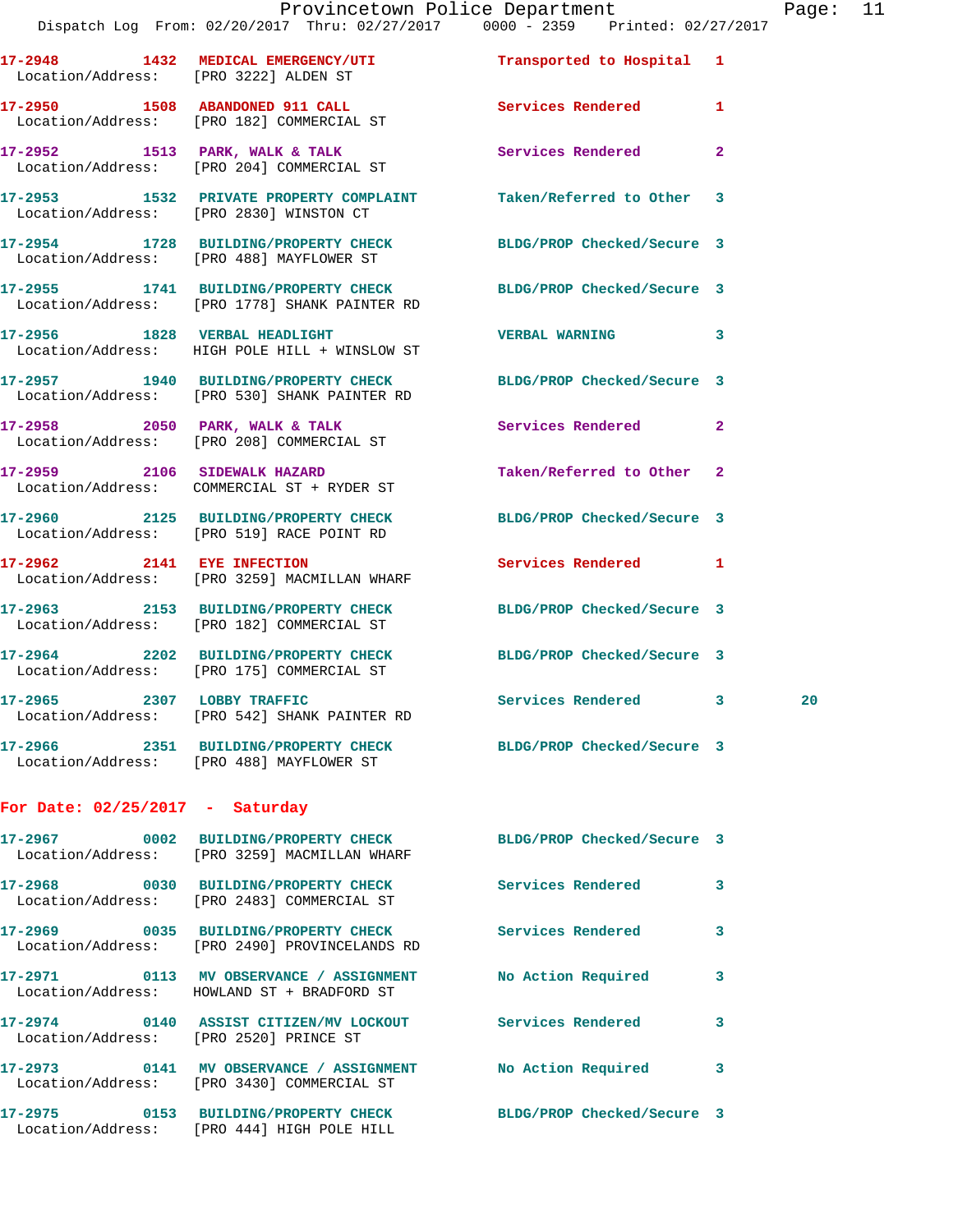|                                         | Dispatch Log From: 02/20/2017 Thru: 02/27/2017 0000 - 2359 Printed: 02/27/2017                                   |                            |                |
|-----------------------------------------|------------------------------------------------------------------------------------------------------------------|----------------------------|----------------|
| Location/Address: [PRO 3222] ALDEN ST   | 17-2948 1432 MEDICAL EMERGENCY/UTI Transported to Hospital 1                                                     |                            |                |
|                                         | 17-2950 1508 ABANDONED 911 CALL<br>Location/Address: [PRO 182] COMMERCIAL ST                                     | Services Rendered          | $\mathbf{1}$   |
|                                         | 17-2952 1513 PARK, WALK & TALK<br>Location/Address: [PRO 204] COMMERCIAL ST                                      | Services Rendered          | $\mathbf{2}$   |
| Location/Address: [PRO 2830] WINSTON CT | 17-2953 1532 PRIVATE PROPERTY COMPLAINT Taken/Referred to Other 3                                                |                            |                |
|                                         | 17-2954 1728 BUILDING/PROPERTY CHECK BLDG/PROP Checked/Secure 3<br>Location/Address: [PRO 488] MAYFLOWER ST      |                            |                |
|                                         | 17-2955 1741 BUILDING/PROPERTY CHECK BLDG/PROP Checked/Secure 3<br>Location/Address: [PRO 1778] SHANK PAINTER RD |                            |                |
|                                         | 17-2956 1828 VERBAL HEADLIGHT<br>Location/Address: HIGH POLE HILL + WINSLOW ST                                   | <b>VERBAL WARNING</b>      | 3              |
|                                         | 17-2957 1940 BUILDING/PROPERTY CHECK BLDG/PROP Checked/Secure 3<br>Location/Address: [PRO 530] SHANK PAINTER RD  |                            |                |
|                                         | $17-2958$ 2050 PARK, WALK & TALK<br>Location/Address: [PRO 208] COMMERCIAL ST                                    | <b>Services Rendered</b>   | $\overline{2}$ |
|                                         | 17-2959 2106 SIDEWALK HAZARD<br>Location/Address: COMMERCIAL ST + RYDER ST                                       | Taken/Referred to Other    | 2              |
|                                         | 17-2960 2125 BUILDING/PROPERTY CHECK<br>Location/Address: [PRO 519] RACE POINT RD                                | BLDG/PROP Checked/Secure 3 |                |
|                                         | 17-2962 2141 EYE INFECTION<br>Location/Address: [PRO 3259] MACMILLAN WHARF                                       | <b>Services Rendered</b>   | 1              |
|                                         | 17-2963 2153 BUILDING/PROPERTY CHECK BLDG/PROP Checked/Secure 3<br>Location/Address: [PRO 182] COMMERCIAL ST     |                            |                |
|                                         | 17-2964 2202 BUILDING/PROPERTY CHECK BLDG/PROP Checked/Secure 3<br>Location/Address: [PRO 175] COMMERCIAL ST     |                            |                |
| 17-2965 2307 LOBBY TRAFFIC              | Location/Address: [PRO 542] SHANK PAINTER RD                                                                     | Services Rendered 3        | 20             |
|                                         | 17-2966 2351 BUILDING/PROPERTY CHECK BLDG/PROP Checked/Secure 3<br>Location/Address: [PRO 488] MAYFLOWER ST      |                            |                |
| For Date: $02/25/2017$ - Saturday       |                                                                                                                  |                            |                |
|                                         | Location/Address: [PRO 3259] MACMILLAN WHARF                                                                     | BLDG/PROP Checked/Secure 3 |                |
|                                         | 17-2968 0030 BUILDING/PROPERTY CHECK<br>Location/Address: [PRO 2483] COMMERCIAL ST                               | Services Rendered          | 3              |
|                                         | 17-2969 0035 BUILDING/PROPERTY CHECK<br>Location/Address: [PRO 2490] PROVINCELANDS RD                            | Services Rendered          | 3              |
|                                         | 17-2971 0113 MV OBSERVANCE / ASSIGNMENT<br>Location/Address: HOWLAND ST + BRADFORD ST                            | No Action Required         | 3              |
|                                         | 17-2974 0140 ASSIST CITIZEN/MV LOCKOUT                                                                           | <b>Services Rendered</b>   | 3              |

**17-2973 0141 MV OBSERVANCE / ASSIGNMENT No Action Required 3**  Location/Address: [PRO 3430] COMMERCIAL ST

**17-2975 0153 BUILDING/PROPERTY CHECK BLDG/PROP Checked/Secure 3**  Location/Address: [PRO 444] HIGH POLE HILL

Location/Address: [PRO 2520] PRINCE ST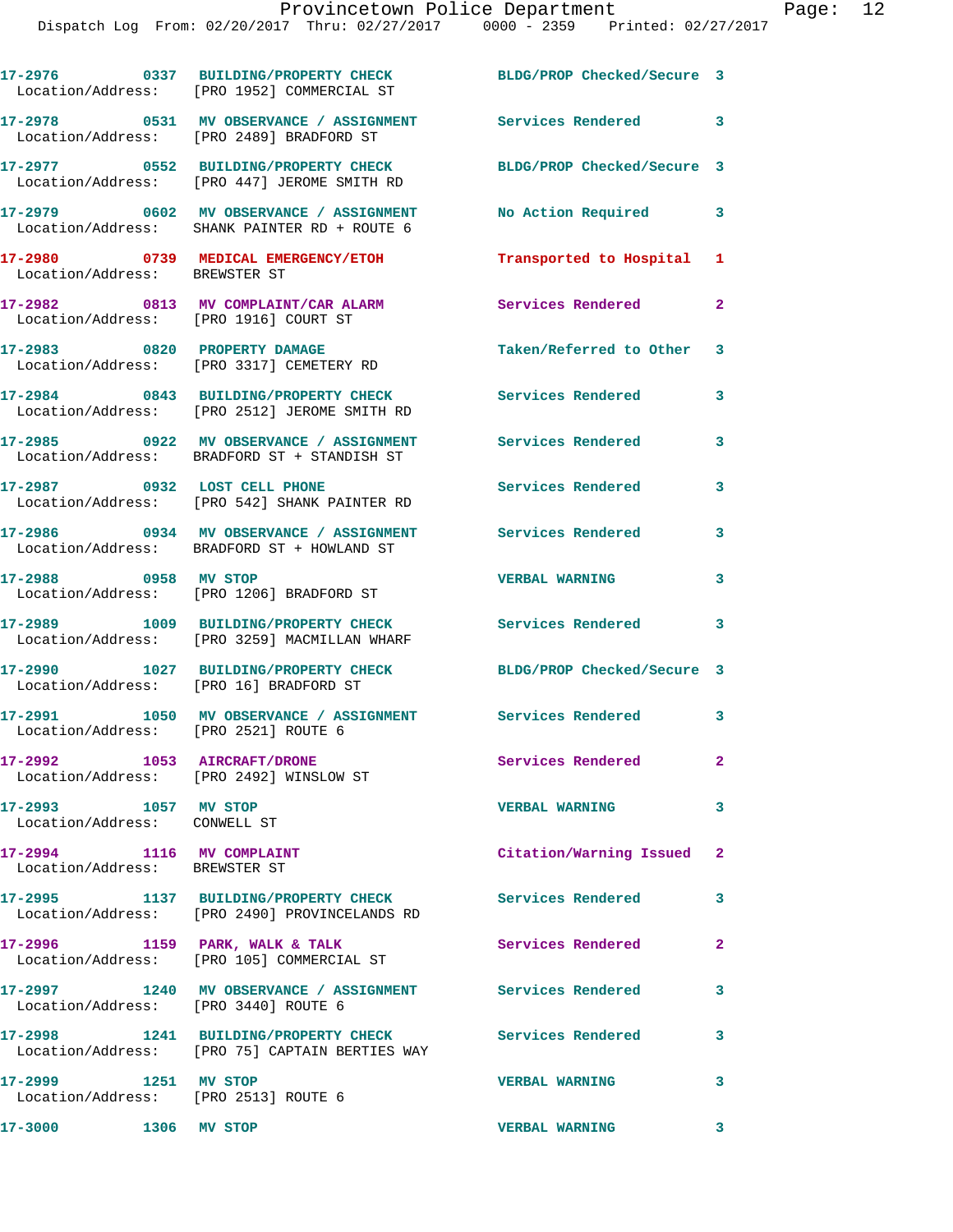|                                                              | 17-2976 0337 BUILDING/PROPERTY CHECK<br>Location/Address: [PRO 1952] COMMERCIAL ST                       | BLDG/PROP Checked/Secure 3 |                         |
|--------------------------------------------------------------|----------------------------------------------------------------------------------------------------------|----------------------------|-------------------------|
|                                                              | 17-2978 0531 MV OBSERVANCE / ASSIGNMENT<br>Location/Address: [PRO 2489] BRADFORD ST                      | Services Rendered 3        |                         |
|                                                              | 17-2977 0552 BUILDING/PROPERTY CHECK<br>Location/Address: [PRO 447] JEROME SMITH RD                      | BLDG/PROP Checked/Secure 3 |                         |
|                                                              | 17-2979 0602 MV OBSERVANCE / ASSIGNMENT<br>Location/Address: SHANK PAINTER RD + ROUTE 6                  | No Action Required         | 3                       |
| Location/Address: BREWSTER ST                                | 17-2980 0739 MEDICAL EMERGENCY/ETOH                                                                      | Transported to Hospital    | 1                       |
| Location/Address: [PRO 1916] COURT ST                        | 17-2982 0813 MV COMPLAINT/CAR ALARM                                                                      | Services Rendered          | $\mathbf{2}$            |
|                                                              | 17-2983 0820 PROPERTY DAMAGE<br>Location/Address: [PRO 3317] CEMETERY RD                                 | Taken/Referred to Other 3  |                         |
|                                                              | 17-2984 0843 BUILDING/PROPERTY CHECK<br>Location/Address: [PRO 2512] JEROME SMITH RD                     | Services Rendered          | 3                       |
|                                                              | 17-2985 0922 MV OBSERVANCE / ASSIGNMENT<br>Location/Address: BRADFORD ST + STANDISH ST                   | <b>Services Rendered</b>   | 3                       |
| 17-2987 0932 LOST CELL PHONE                                 | Location/Address: [PRO 542] SHANK PAINTER RD                                                             | Services Rendered          | 3                       |
|                                                              | 17-2986 0934 MV OBSERVANCE / ASSIGNMENT<br>Location/Address: BRADFORD ST + HOWLAND ST                    | <b>Services Rendered</b>   | 3                       |
| 17-2988 0958 MV STOP                                         | Location/Address: [PRO 1206] BRADFORD ST                                                                 | <b>VERBAL WARNING</b>      | 3                       |
|                                                              | 17-2989 1009 BUILDING/PROPERTY CHECK<br>Location/Address: [PRO 3259] MACMILLAN WHARF                     | <b>Services Rendered</b> 3 |                         |
| Location/Address: [PRO 16] BRADFORD ST                       | 17-2990 1027 BUILDING/PROPERTY CHECK                                                                     | BLDG/PROP Checked/Secure 3 |                         |
| 17-2991<br>Location/Address: [PRO 2521] ROUTE 6              | 1050 MV OBSERVANCE / ASSIGNMENT Services Rendered 3                                                      |                            |                         |
| 17-2992 1053 AIRCRAFT/DRONE                                  | Location/Address: [PRO 2492] WINSLOW ST                                                                  | Services Rendered          | $\mathbf{2}$            |
| 17-2993 1057 MV STOP<br>Location/Address: CONWELL ST         |                                                                                                          | <b>VERBAL WARNING</b>      | 3                       |
| 17-2994 1116 MV COMPLAINT<br>Location/Address: BREWSTER ST   |                                                                                                          | Citation/Warning Issued 2  |                         |
|                                                              | 17-2995 1137 BUILDING/PROPERTY CHECK<br>Location/Address: [PRO 2490] PROVINCELANDS RD                    | <b>Services Rendered</b>   | 3                       |
|                                                              | $17-2996$ 1159 PARK, WALK & TALK<br>Location/Address: [PRO 105] COMMERCIAL ST                            | Services Rendered          | $\mathbf{2}$            |
| Location/Address: [PRO 3440] ROUTE 6                         | 17-2997 1240 MV OBSERVANCE / ASSIGNMENT Services Rendered                                                |                            | 3                       |
|                                                              | 17-2998 1241 BUILDING/PROPERTY CHECK Services Rendered<br>Location/Address: [PRO 75] CAPTAIN BERTIES WAY |                            | 3                       |
| 17-2999 1251 MV STOP<br>Location/Address: [PRO 2513] ROUTE 6 |                                                                                                          | <b>VERBAL WARNING</b>      | 3                       |
| 17-3000 1306 MV STOP                                         |                                                                                                          | <b>VERBAL WARNING</b>      | $\overline{\mathbf{3}}$ |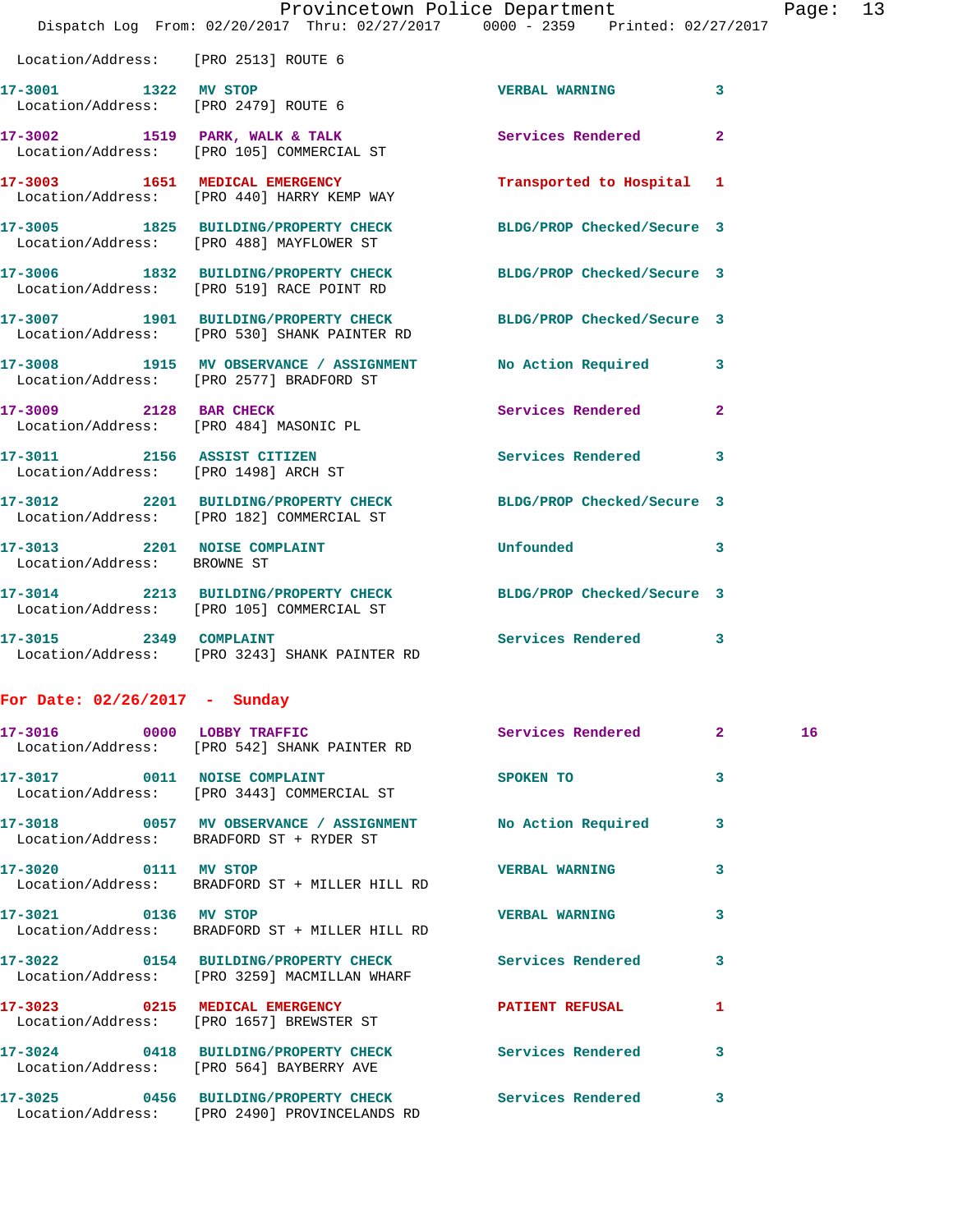|                                                                     | Dispatch Log From: 02/20/2017 Thru: 02/27/2017 0000 - 2359 Printed: 02/27/2017                                  | Provincetown Police Department |                         | Page: 13 |  |
|---------------------------------------------------------------------|-----------------------------------------------------------------------------------------------------------------|--------------------------------|-------------------------|----------|--|
|                                                                     |                                                                                                                 |                                |                         |          |  |
| Location/Address: [PRO 2513] ROUTE 6                                |                                                                                                                 |                                |                         |          |  |
| 17-3001 1322 MV STOP                                                | Location/Address: [PRO 2479] ROUTE 6                                                                            | VERBAL WARNING 3               |                         |          |  |
|                                                                     | 17-3002 1519 PARK, WALK & TALK 1988 Services Rendered 2<br>Location/Address: [PRO 105] COMMERCIAL ST            |                                |                         |          |  |
|                                                                     | 17-3003 1651 MEDICAL EMERGENCY<br>Location/Address: [PRO 440] HARRY KEMP WAY                                    | Transported to Hospital 1      |                         |          |  |
|                                                                     | 17-3005 1825 BUILDING/PROPERTY CHECK BLDG/PROP Checked/Secure 3<br>Location/Address: [PRO 488] MAYFLOWER ST     |                                |                         |          |  |
|                                                                     | 17-3006 1832 BUILDING/PROPERTY CHECK BLDG/PROP Checked/Secure 3<br>Location/Address: [PRO 519] RACE POINT RD    |                                |                         |          |  |
|                                                                     | 17-3007 1901 BUILDING/PROPERTY CHECK BLDG/PROP Checked/Secure 3<br>Location/Address: [PRO 530] SHANK PAINTER RD |                                |                         |          |  |
|                                                                     | 17-3008 1915 MV OBSERVANCE / ASSIGNMENT No Action Required 3<br>Location/Address: [PRO 2577] BRADFORD ST        |                                |                         |          |  |
|                                                                     | 17-3009 2128 BAR CHECK<br>Location/Address: [PRO 484] MASONIC PL                                                | Services Rendered 2            |                         |          |  |
| 17-3011 2156 ASSIST CITIZEN<br>Location/Address: [PRO 1498] ARCH ST |                                                                                                                 | Services Rendered 3            |                         |          |  |
|                                                                     | 17-3012 2201 BUILDING/PROPERTY CHECK BLDG/PROP Checked/Secure 3<br>Location/Address: [PRO 182] COMMERCIAL ST    |                                |                         |          |  |
| Location/Address: BROWNE ST                                         | 17-3013 2201 NOISE COMPLAINT                                                                                    | Unfounded                      | $\overline{\mathbf{3}}$ |          |  |
|                                                                     | 17-3014 2213 BUILDING/PROPERTY CHECK BLDG/PROP Checked/Secure 3<br>Location/Address: [PRO 105] COMMERCIAL ST    |                                |                         |          |  |
|                                                                     | 17-3015 2349 COMPLAINT<br>Location/Address: [PRO 3243] SHANK PAINTER RD                                         | Services Rendered 3            |                         |          |  |
| For Date: $02/26/2017$ - Sunday                                     |                                                                                                                 |                                |                         |          |  |
|                                                                     | Location/Address: [PRO 542] SHANK PAINTER RD                                                                    | Services Rendered              | $\mathbf{2}$            | 16       |  |
| 17-3017 0011 NOISE COMPLAINT                                        | Location/Address: [PRO 3443] COMMERCIAL ST                                                                      | SPOKEN TO                      | 3                       |          |  |
|                                                                     |                                                                                                                 |                                |                         |          |  |

**17-3018 0057 MV OBSERVANCE / ASSIGNMENT No Action Required 3**  Location/Address: BRADFORD ST + RYDER ST **17-3020 0111 MV STOP VERBAL WARNING 3**  Location/Address: BRADFORD ST + MILLER HILL RD **17-3021 0136 MV STOP VERBAL WARNING 3**  Location/Address: BRADFORD ST + MILLER HILL RD **17-3022 0154 BUILDING/PROPERTY CHECK Services Rendered 3** 

 Location/Address: [PRO 3259] MACMILLAN WHARF **17-3023 0215 MEDICAL EMERGENCY PATIENT REFUSAL 1**  Location/Address: [PRO 1657] BREWSTER ST **17-3024 0418 BUILDING/PROPERTY CHECK Services Rendered 3**  Location/Address: [PRO 564] BAYBERRY AVE **17-3025 0456 BUILDING/PROPERTY CHECK Services Rendered 3**  Location/Address: [PRO 2490] PROVINCELANDS RD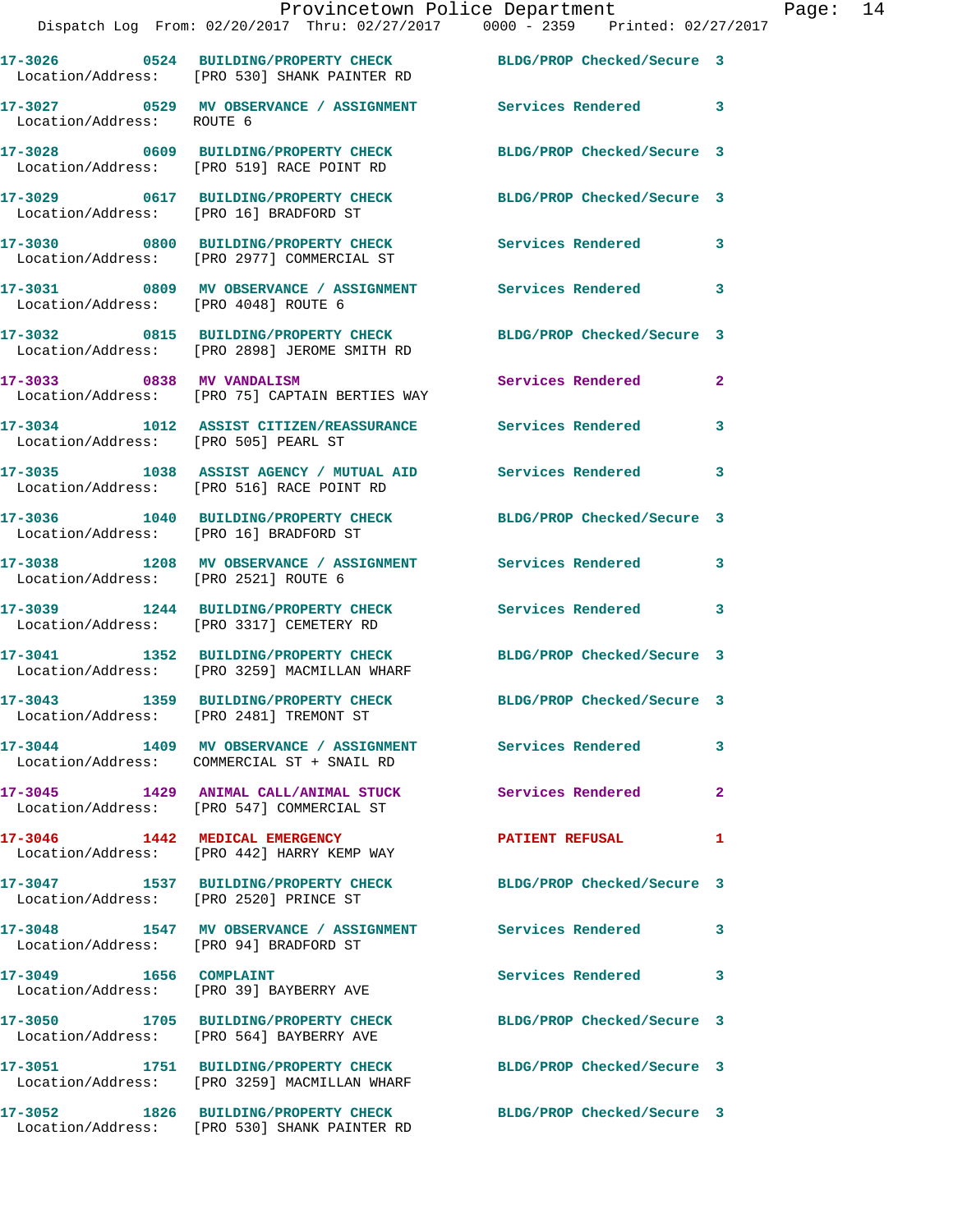|                                        | Dispatch Log From: 02/20/2017 Thru: 02/27/2017 0000 - 2359 Printed: 02/27/2017                                   |                            |                |
|----------------------------------------|------------------------------------------------------------------------------------------------------------------|----------------------------|----------------|
|                                        | 17-3026  0524 BUILDING/PROPERTY CHECK BLDG/PROP Checked/Secure 3<br>Location/Address: [PRO 530] SHANK PAINTER RD |                            |                |
| Location/Address: ROUTE 6              | 17-3027  0529 MV OBSERVANCE / ASSIGNMENT Services Rendered                                                       |                            | 3              |
|                                        | 17-3028 0609 BUILDING/PROPERTY CHECK<br>Location/Address: [PRO 519] RACE POINT RD                                | BLDG/PROP Checked/Secure 3 |                |
| Location/Address: [PRO 16] BRADFORD ST | 17-3029 0617 BUILDING/PROPERTY CHECK                                                                             | BLDG/PROP Checked/Secure 3 |                |
|                                        | 17-3030 0800 BUILDING/PROPERTY CHECK<br>Location/Address: [PRO 2977] COMMERCIAL ST                               | <b>Services Rendered</b>   | 3              |
| Location/Address: [PRO 4048] ROUTE 6   | 17-3031 6809 MV OBSERVANCE / ASSIGNMENT Services Rendered                                                        |                            | 3              |
|                                        | 17-3032 0815 BUILDING/PROPERTY CHECK BLDG/PROP Checked/Secure 3<br>Location/Address: [PRO 2898] JEROME SMITH RD  |                            |                |
|                                        | 17-3033 0838 MV VANDALISM<br>Location/Address: [PRO 75] CAPTAIN BERTIES WAY                                      | <b>Services Rendered</b>   | $\overline{2}$ |
| Location/Address: [PRO 505] PEARL ST   | 17-3034 1012 ASSIST CITIZEN/REASSURANCE Services Rendered                                                        |                            | 3              |
|                                        | 17-3035 1038 ASSIST AGENCY / MUTUAL AID Services Rendered<br>Location/Address: [PRO 516] RACE POINT RD           |                            | 3              |
| Location/Address: [PRO 16] BRADFORD ST | 17-3036 1040 BUILDING/PROPERTY CHECK                                                                             | BLDG/PROP Checked/Secure 3 |                |
| Location/Address: [PRO 2521] ROUTE 6   | 17-3038 1208 MV OBSERVANCE / ASSIGNMENT Services Rendered                                                        |                            | 3              |
|                                        | 17-3039 1244 BUILDING/PROPERTY CHECK<br>Location/Address: [PRO 3317] CEMETERY RD                                 | <b>Services Rendered</b>   | 3              |
|                                        | 17-3041 1352 BUILDING/PROPERTY CHECK<br>Location/Address: [PRO 3259] MACMILLAN WHARF                             | BLDG/PROP Checked/Secure 3 |                |
|                                        | 17-3043 1359 BUILDING/PROPERTY CHECK<br>Location/Address: [PRO 2481] TREMONT ST                                  | BLDG/PROP Checked/Secure 3 |                |
|                                        | 17-3044 1409 MV OBSERVANCE / ASSIGNMENT Services Rendered<br>Location/Address: COMMERCIAL ST + SNAIL RD          |                            | 3              |
|                                        | 17-3045 1429 ANIMAL CALL/ANIMAL STUCK<br>Location/Address: [PRO 547] COMMERCIAL ST                               | Services Rendered          | $\overline{a}$ |
|                                        | 17-3046 1442 MEDICAL EMERGENCY<br>Location/Address: [PRO 442] HARRY KEMP WAY                                     | <b>PATIENT REFUSAL</b>     | 1              |
| Location/Address: [PRO 2520] PRINCE ST | 17-3047 1537 BUILDING/PROPERTY CHECK BLDG/PROP Checked/Secure 3                                                  |                            |                |
| Location/Address: [PRO 94] BRADFORD ST | 17-3048 1547 MV OBSERVANCE / ASSIGNMENT Services Rendered                                                        |                            | 3              |
| 17-3049 1656 COMPLAINT                 | Location/Address: [PRO 39] BAYBERRY AVE                                                                          | Services Rendered          | 3              |
|                                        | 17-3050 1705 BUILDING/PROPERTY CHECK<br>Location/Address: [PRO 564] BAYBERRY AVE                                 | BLDG/PROP Checked/Secure 3 |                |
|                                        | 17-3051 1751 BUILDING/PROPERTY CHECK<br>Location/Address: [PRO 3259] MACMILLAN WHARF                             | BLDG/PROP Checked/Secure 3 |                |
|                                        | 17-3052 1826 BUILDING/PROPERTY CHECK<br>Location/Address: [PRO 530] SHANK PAINTER RD                             | BLDG/PROP Checked/Secure 3 |                |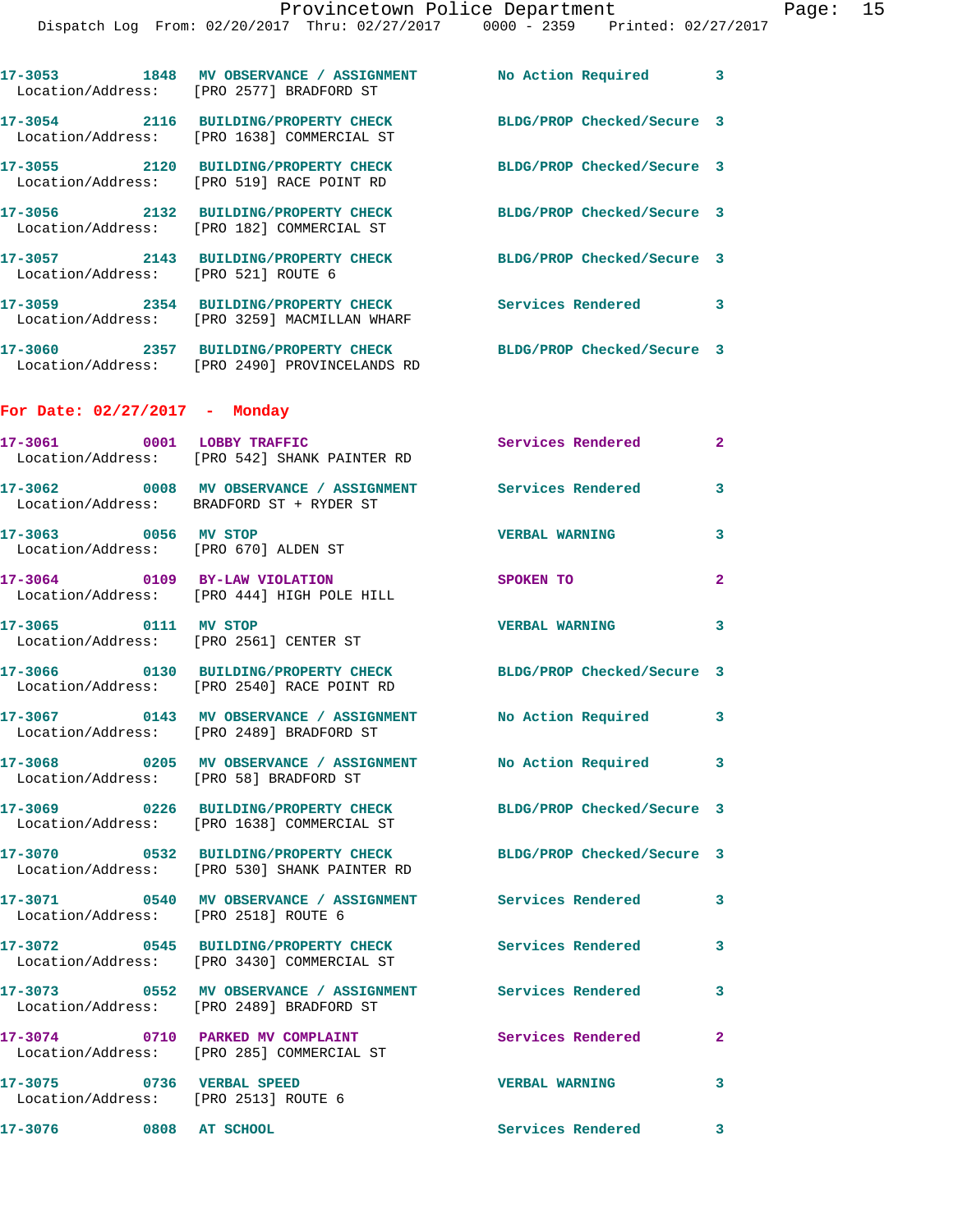|                                      |                                                                             | Provincetown Police Department<br>Dispatch Log From: 02/20/2017 Thru: 02/27/2017 0000 - 2359 Printed: 02/27/2017 |              | Page: 15 |  |
|--------------------------------------|-----------------------------------------------------------------------------|------------------------------------------------------------------------------------------------------------------|--------------|----------|--|
|                                      | Location/Address: [PRO 2577] BRADFORD ST                                    | 17-3053 1848 MV OBSERVANCE / ASSIGNMENT No Action Required 3                                                     |              |          |  |
|                                      | Location/Address: [PRO 1638] COMMERCIAL ST                                  | 17-3054 2116 BUILDING/PROPERTY CHECK BLDG/PROP Checked/Secure 3                                                  |              |          |  |
|                                      | Location/Address: [PRO 519] RACE POINT RD                                   | 17-3055 2120 BUILDING/PROPERTY CHECK BLDG/PROP Checked/Secure 3                                                  |              |          |  |
|                                      | Location/Address: [PRO 182] COMMERCIAL ST                                   | 17-3056 2132 BUILDING/PROPERTY CHECK BLDG/PROP Checked/Secure 3                                                  |              |          |  |
| Location/Address: [PRO 521] ROUTE 6  |                                                                             | 17-3057 2143 BUILDING/PROPERTY CHECK BLDG/PROP Checked/Secure 3                                                  |              |          |  |
|                                      | Location/Address: [PRO 3259] MACMILLAN WHARF                                | 17-3059 2354 BUILDING/PROPERTY CHECK Services Rendered 3                                                         |              |          |  |
|                                      | Location/Address: [PRO 2490] PROVINCELANDS RD                               | 17-3060 2357 BUILDING/PROPERTY CHECK BLDG/PROP Checked/Secure 3                                                  |              |          |  |
| For Date: $02/27/2017$ - Monday      |                                                                             |                                                                                                                  |              |          |  |
|                                      | Location/Address: [PRO 542] SHANK PAINTER RD                                | 17-3061 0001 LOBBY TRAFFIC Services Rendered 2                                                                   |              |          |  |
|                                      | Location/Address: BRADFORD ST + RYDER ST                                    | 17-3062 0008 MV OBSERVANCE / ASSIGNMENT Services Rendered 3                                                      |              |          |  |
| 17-3063 0056 MV STOP                 | Location/Address: [PRO 670] ALDEN ST                                        | <b>VERBAL WARNING</b>                                                                                            | 3            |          |  |
|                                      | 17-3064 0109 BY-LAW VIOLATION<br>Location/Address: [PRO 444] HIGH POLE HILL | SPOKEN TO                                                                                                        | $\mathbf{2}$ |          |  |
| 17-3065 0111 MV STOP                 | Location/Address: [PRO 2561] CENTER ST                                      | <b>VERBAL WARNING</b>                                                                                            | 3            |          |  |
|                                      | Location/Address: [PRO 2540] RACE POINT RD                                  | 17-3066 0130 BUILDING/PROPERTY CHECK BLDG/PROP Checked/Secure 3                                                  |              |          |  |
|                                      | Location/Address: [PRO 2489] BRADFORD ST                                    | 17-3067 0143 MV OBSERVANCE / ASSIGNMENT No Action Required 3                                                     |              |          |  |
|                                      | Location/Address: [PRO 58] BRADFORD ST                                      | 17-3068 0205 MV OBSERVANCE / ASSIGNMENT No Action Required 3                                                     |              |          |  |
|                                      | Location/Address: [PRO 1638] COMMERCIAL ST                                  | 17-3069 0226 BUILDING/PROPERTY CHECK BLDG/PROP Checked/Secure 3                                                  |              |          |  |
|                                      | Location/Address: [PRO 530] SHANK PAINTER RD                                | 17-3070 0532 BUILDING/PROPERTY CHECK BLDG/PROP Checked/Secure 3                                                  |              |          |  |
| Location/Address: [PRO 2518] ROUTE 6 |                                                                             | 17-3071 0540 MV OBSERVANCE / ASSIGNMENT Services Rendered 3                                                      |              |          |  |
|                                      | Location/Address: [PRO 3430] COMMERCIAL ST                                  | 17-3072 0545 BUILDING/PROPERTY CHECK Services Rendered 3                                                         |              |          |  |
|                                      | Location/Address: [PRO 2489] BRADFORD ST                                    | 17-3073 0552 MV OBSERVANCE / ASSIGNMENT Services Rendered 3                                                      |              |          |  |
|                                      | Location/Address: [PRO 285] COMMERCIAL ST                                   | 17-3074 0710 PARKED MV COMPLAINT Services Rendered 2                                                             |              |          |  |
| Location/Address: [PRO 2513] ROUTE 6 | 17-3075 0736 VERBAL SPEED                                                   | <b>VERBAL WARNING</b>                                                                                            | 3            |          |  |
| 17-3076 0808 AT SCHOOL               |                                                                             | Services Rendered 3                                                                                              |              |          |  |
|                                      |                                                                             |                                                                                                                  |              |          |  |